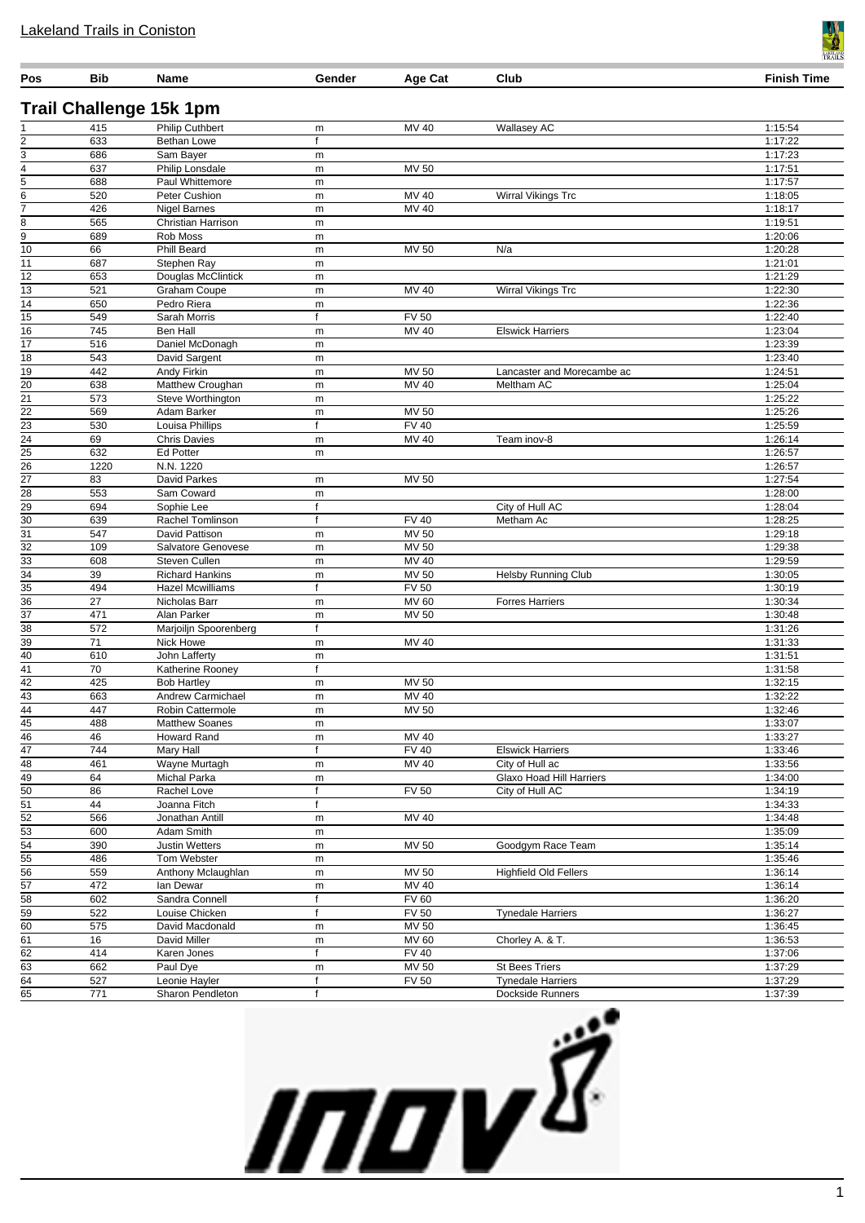| 415<br>$\overline{2}$<br>633<br>3<br>686<br>$\overline{4}$<br>637<br>$\overline{5}$<br>688<br>$\overline{6}$<br>520<br>7<br>426<br>8<br>565<br>$\overline{9}$<br>689<br>$\overline{10}$<br>66<br>11<br>687<br>12<br>653<br>13<br>521<br>14<br>650<br>$\overline{15}$<br>549<br>$\overline{16}$<br>745<br>$\overline{17}$<br>516<br>18<br>543<br>19<br>442<br>$\overline{20}$<br>638<br>$\overline{21}$<br>573<br>$\overline{22}$<br>569<br>$\overline{23}$<br>530<br>$\overline{24}$<br>69<br>$\overline{25}$<br>632<br>$\overline{26}$<br>1220<br>$\overline{27}$<br>83<br>$\overline{28}$<br>553<br>$\overline{29}$<br>694<br>$\overline{30}$<br>639 | <b>Trail Challenge 15k 1pm</b><br><b>Philip Cuthbert</b><br><b>Bethan Lowe</b><br>Sam Bayer<br>Philip Lonsdale<br>Paul Whittemore<br>Peter Cushion<br><b>Nigel Barnes</b><br><b>Christian Harrison</b><br>Rob Moss<br><b>Phill Beard</b><br>Stephen Ray<br>Douglas McClintick<br>Graham Coupe<br>Pedro Riera<br>Sarah Morris<br>Ben Hall<br>Daniel McDonagh<br>David Sargent<br>Andy Firkin<br>Matthew Croughan<br>Steve Worthington<br>Adam Barker<br>Louisa Phillips<br><b>Chris Davies</b><br><b>Ed Potter</b> | m<br>f<br>m<br>m<br>m<br>m<br>m<br>m<br>m<br>m<br>m<br>m<br>m<br>m<br>f<br>m<br>m<br>m<br>m<br>m<br>m | MV 40<br><b>MV 50</b><br>MV 40<br>MV 40<br><b>MV 50</b><br>MV 40<br><b>FV 50</b><br>MV 40<br>MV 50 | <b>Wallasey AC</b><br>Wirral Vikings Trc<br>N/a<br>Wirral Vikings Trc<br><b>Elswick Harriers</b> | 1:15:54<br>1:17:22<br>1:17:23<br>1:17:51<br>1:17:57<br>1:18:05<br>1:18:17<br>1:19:51<br>1:20:06<br>1:20:28<br>1:21:01<br>1:21:29<br>1:22:30<br>1:22:36<br>1:22:40 |
|--------------------------------------------------------------------------------------------------------------------------------------------------------------------------------------------------------------------------------------------------------------------------------------------------------------------------------------------------------------------------------------------------------------------------------------------------------------------------------------------------------------------------------------------------------------------------------------------------------------------------------------------------------|-------------------------------------------------------------------------------------------------------------------------------------------------------------------------------------------------------------------------------------------------------------------------------------------------------------------------------------------------------------------------------------------------------------------------------------------------------------------------------------------------------------------|-------------------------------------------------------------------------------------------------------|----------------------------------------------------------------------------------------------------|--------------------------------------------------------------------------------------------------|-------------------------------------------------------------------------------------------------------------------------------------------------------------------|
|                                                                                                                                                                                                                                                                                                                                                                                                                                                                                                                                                                                                                                                        |                                                                                                                                                                                                                                                                                                                                                                                                                                                                                                                   |                                                                                                       |                                                                                                    |                                                                                                  |                                                                                                                                                                   |
|                                                                                                                                                                                                                                                                                                                                                                                                                                                                                                                                                                                                                                                        |                                                                                                                                                                                                                                                                                                                                                                                                                                                                                                                   |                                                                                                       |                                                                                                    |                                                                                                  |                                                                                                                                                                   |
|                                                                                                                                                                                                                                                                                                                                                                                                                                                                                                                                                                                                                                                        |                                                                                                                                                                                                                                                                                                                                                                                                                                                                                                                   |                                                                                                       |                                                                                                    |                                                                                                  |                                                                                                                                                                   |
|                                                                                                                                                                                                                                                                                                                                                                                                                                                                                                                                                                                                                                                        |                                                                                                                                                                                                                                                                                                                                                                                                                                                                                                                   |                                                                                                       |                                                                                                    |                                                                                                  |                                                                                                                                                                   |
|                                                                                                                                                                                                                                                                                                                                                                                                                                                                                                                                                                                                                                                        |                                                                                                                                                                                                                                                                                                                                                                                                                                                                                                                   |                                                                                                       |                                                                                                    |                                                                                                  |                                                                                                                                                                   |
|                                                                                                                                                                                                                                                                                                                                                                                                                                                                                                                                                                                                                                                        |                                                                                                                                                                                                                                                                                                                                                                                                                                                                                                                   |                                                                                                       |                                                                                                    |                                                                                                  |                                                                                                                                                                   |
|                                                                                                                                                                                                                                                                                                                                                                                                                                                                                                                                                                                                                                                        |                                                                                                                                                                                                                                                                                                                                                                                                                                                                                                                   |                                                                                                       |                                                                                                    |                                                                                                  |                                                                                                                                                                   |
|                                                                                                                                                                                                                                                                                                                                                                                                                                                                                                                                                                                                                                                        |                                                                                                                                                                                                                                                                                                                                                                                                                                                                                                                   |                                                                                                       |                                                                                                    |                                                                                                  |                                                                                                                                                                   |
|                                                                                                                                                                                                                                                                                                                                                                                                                                                                                                                                                                                                                                                        |                                                                                                                                                                                                                                                                                                                                                                                                                                                                                                                   |                                                                                                       |                                                                                                    |                                                                                                  |                                                                                                                                                                   |
|                                                                                                                                                                                                                                                                                                                                                                                                                                                                                                                                                                                                                                                        |                                                                                                                                                                                                                                                                                                                                                                                                                                                                                                                   |                                                                                                       |                                                                                                    |                                                                                                  |                                                                                                                                                                   |
|                                                                                                                                                                                                                                                                                                                                                                                                                                                                                                                                                                                                                                                        |                                                                                                                                                                                                                                                                                                                                                                                                                                                                                                                   |                                                                                                       |                                                                                                    |                                                                                                  |                                                                                                                                                                   |
|                                                                                                                                                                                                                                                                                                                                                                                                                                                                                                                                                                                                                                                        |                                                                                                                                                                                                                                                                                                                                                                                                                                                                                                                   |                                                                                                       |                                                                                                    |                                                                                                  |                                                                                                                                                                   |
|                                                                                                                                                                                                                                                                                                                                                                                                                                                                                                                                                                                                                                                        |                                                                                                                                                                                                                                                                                                                                                                                                                                                                                                                   |                                                                                                       |                                                                                                    |                                                                                                  |                                                                                                                                                                   |
|                                                                                                                                                                                                                                                                                                                                                                                                                                                                                                                                                                                                                                                        |                                                                                                                                                                                                                                                                                                                                                                                                                                                                                                                   |                                                                                                       |                                                                                                    |                                                                                                  |                                                                                                                                                                   |
|                                                                                                                                                                                                                                                                                                                                                                                                                                                                                                                                                                                                                                                        |                                                                                                                                                                                                                                                                                                                                                                                                                                                                                                                   |                                                                                                       |                                                                                                    |                                                                                                  | 1:23:04                                                                                                                                                           |
|                                                                                                                                                                                                                                                                                                                                                                                                                                                                                                                                                                                                                                                        |                                                                                                                                                                                                                                                                                                                                                                                                                                                                                                                   |                                                                                                       |                                                                                                    |                                                                                                  | 1:23:39                                                                                                                                                           |
|                                                                                                                                                                                                                                                                                                                                                                                                                                                                                                                                                                                                                                                        |                                                                                                                                                                                                                                                                                                                                                                                                                                                                                                                   |                                                                                                       |                                                                                                    | Lancaster and Morecambe ac                                                                       | 1:23:40<br>1:24:51                                                                                                                                                |
|                                                                                                                                                                                                                                                                                                                                                                                                                                                                                                                                                                                                                                                        |                                                                                                                                                                                                                                                                                                                                                                                                                                                                                                                   |                                                                                                       | MV 40                                                                                              | Meltham AC                                                                                       | 1:25:04                                                                                                                                                           |
|                                                                                                                                                                                                                                                                                                                                                                                                                                                                                                                                                                                                                                                        |                                                                                                                                                                                                                                                                                                                                                                                                                                                                                                                   |                                                                                                       |                                                                                                    |                                                                                                  | 1:25:22                                                                                                                                                           |
|                                                                                                                                                                                                                                                                                                                                                                                                                                                                                                                                                                                                                                                        |                                                                                                                                                                                                                                                                                                                                                                                                                                                                                                                   | m                                                                                                     | MV 50                                                                                              |                                                                                                  | 1:25:26                                                                                                                                                           |
|                                                                                                                                                                                                                                                                                                                                                                                                                                                                                                                                                                                                                                                        |                                                                                                                                                                                                                                                                                                                                                                                                                                                                                                                   | $\mathsf{f}$                                                                                          | <b>FV 40</b>                                                                                       |                                                                                                  | 1:25:59                                                                                                                                                           |
|                                                                                                                                                                                                                                                                                                                                                                                                                                                                                                                                                                                                                                                        |                                                                                                                                                                                                                                                                                                                                                                                                                                                                                                                   | m                                                                                                     | MV 40                                                                                              | Team inov-8                                                                                      | 1:26:14                                                                                                                                                           |
|                                                                                                                                                                                                                                                                                                                                                                                                                                                                                                                                                                                                                                                        |                                                                                                                                                                                                                                                                                                                                                                                                                                                                                                                   | m                                                                                                     |                                                                                                    |                                                                                                  | 1:26:57<br>1:26:57                                                                                                                                                |
|                                                                                                                                                                                                                                                                                                                                                                                                                                                                                                                                                                                                                                                        | N.N. 1220<br>David Parkes                                                                                                                                                                                                                                                                                                                                                                                                                                                                                         | m                                                                                                     | <b>MV 50</b>                                                                                       |                                                                                                  | 1:27:54                                                                                                                                                           |
|                                                                                                                                                                                                                                                                                                                                                                                                                                                                                                                                                                                                                                                        | Sam Coward                                                                                                                                                                                                                                                                                                                                                                                                                                                                                                        | m                                                                                                     |                                                                                                    |                                                                                                  | 1:28:00                                                                                                                                                           |
|                                                                                                                                                                                                                                                                                                                                                                                                                                                                                                                                                                                                                                                        | Sophie Lee                                                                                                                                                                                                                                                                                                                                                                                                                                                                                                        | f                                                                                                     |                                                                                                    | City of Hull AC                                                                                  | 1:28:04                                                                                                                                                           |
|                                                                                                                                                                                                                                                                                                                                                                                                                                                                                                                                                                                                                                                        | Rachel Tomlinson                                                                                                                                                                                                                                                                                                                                                                                                                                                                                                  | f                                                                                                     | <b>FV 40</b>                                                                                       | Metham Ac                                                                                        | 1:28:25                                                                                                                                                           |
| $\overline{31}$<br>547                                                                                                                                                                                                                                                                                                                                                                                                                                                                                                                                                                                                                                 | David Pattison                                                                                                                                                                                                                                                                                                                                                                                                                                                                                                    | m                                                                                                     | MV 50                                                                                              |                                                                                                  | 1:29:18                                                                                                                                                           |
| $\overline{32}$<br>109                                                                                                                                                                                                                                                                                                                                                                                                                                                                                                                                                                                                                                 | Salvatore Genovese                                                                                                                                                                                                                                                                                                                                                                                                                                                                                                | m                                                                                                     | MV 50                                                                                              |                                                                                                  | 1:29:38                                                                                                                                                           |
| 33<br>608<br>$\overline{34}$<br>39                                                                                                                                                                                                                                                                                                                                                                                                                                                                                                                                                                                                                     | Steven Cullen<br><b>Richard Hankins</b>                                                                                                                                                                                                                                                                                                                                                                                                                                                                           | m                                                                                                     | <b>MV 40</b><br>MV 50                                                                              | <b>Helsby Running Club</b>                                                                       | 1:29:59<br>1:30:05                                                                                                                                                |
| 494                                                                                                                                                                                                                                                                                                                                                                                                                                                                                                                                                                                                                                                    | <b>Hazel Mcwilliams</b>                                                                                                                                                                                                                                                                                                                                                                                                                                                                                           | m<br>f                                                                                                | <b>FV 50</b>                                                                                       |                                                                                                  | 1:30:19                                                                                                                                                           |
| $\frac{35}{36}$<br>27                                                                                                                                                                                                                                                                                                                                                                                                                                                                                                                                                                                                                                  | Nicholas Barr                                                                                                                                                                                                                                                                                                                                                                                                                                                                                                     | m                                                                                                     | <b>MV 60</b>                                                                                       | <b>Forres Harriers</b>                                                                           | 1:30:34                                                                                                                                                           |
| $\overline{37}$<br>471                                                                                                                                                                                                                                                                                                                                                                                                                                                                                                                                                                                                                                 | Alan Parker                                                                                                                                                                                                                                                                                                                                                                                                                                                                                                       | m                                                                                                     | <b>MV 50</b>                                                                                       |                                                                                                  | 1:30:48                                                                                                                                                           |
| $\overline{38}$<br>572                                                                                                                                                                                                                                                                                                                                                                                                                                                                                                                                                                                                                                 | Marjoiljn Spoorenberg                                                                                                                                                                                                                                                                                                                                                                                                                                                                                             | f                                                                                                     |                                                                                                    |                                                                                                  | 1:31:26                                                                                                                                                           |
| 39<br>$\overline{71}$                                                                                                                                                                                                                                                                                                                                                                                                                                                                                                                                                                                                                                  | Nick Howe                                                                                                                                                                                                                                                                                                                                                                                                                                                                                                         | m                                                                                                     | MV 40                                                                                              |                                                                                                  | 1:31:33                                                                                                                                                           |
| 40<br>610                                                                                                                                                                                                                                                                                                                                                                                                                                                                                                                                                                                                                                              | John Lafferty                                                                                                                                                                                                                                                                                                                                                                                                                                                                                                     | m                                                                                                     |                                                                                                    |                                                                                                  | 1:31:51                                                                                                                                                           |
| 41<br>70<br>42                                                                                                                                                                                                                                                                                                                                                                                                                                                                                                                                                                                                                                         | Katherine Rooney<br><b>Bob Hartlev</b>                                                                                                                                                                                                                                                                                                                                                                                                                                                                            | f                                                                                                     |                                                                                                    |                                                                                                  | 1:31:58                                                                                                                                                           |
| 425<br>$\overline{43}$<br>663                                                                                                                                                                                                                                                                                                                                                                                                                                                                                                                                                                                                                          | Andrew Carmichael                                                                                                                                                                                                                                                                                                                                                                                                                                                                                                 | m<br>m                                                                                                | MV 50<br>MV 40                                                                                     |                                                                                                  | 1:32:15<br>1:32:22                                                                                                                                                |
| $\overline{44}$<br>447                                                                                                                                                                                                                                                                                                                                                                                                                                                                                                                                                                                                                                 | Robin Cattermole                                                                                                                                                                                                                                                                                                                                                                                                                                                                                                  | m                                                                                                     | <b>MV 50</b>                                                                                       |                                                                                                  | 1:32:46                                                                                                                                                           |
| 488                                                                                                                                                                                                                                                                                                                                                                                                                                                                                                                                                                                                                                                    | <b>Matthew Soanes</b>                                                                                                                                                                                                                                                                                                                                                                                                                                                                                             | m                                                                                                     |                                                                                                    |                                                                                                  | 1:33:07                                                                                                                                                           |
| $\frac{45}{46}$<br>46                                                                                                                                                                                                                                                                                                                                                                                                                                                                                                                                                                                                                                  | <b>Howard Rand</b>                                                                                                                                                                                                                                                                                                                                                                                                                                                                                                | m                                                                                                     | MV 40                                                                                              |                                                                                                  | 1:33:27                                                                                                                                                           |
| $\frac{47}{48}$<br>744                                                                                                                                                                                                                                                                                                                                                                                                                                                                                                                                                                                                                                 | Mary Hall                                                                                                                                                                                                                                                                                                                                                                                                                                                                                                         | f                                                                                                     | <b>FV 40</b>                                                                                       | <b>Elswick Harriers</b>                                                                          | 1:33:46                                                                                                                                                           |
| 461                                                                                                                                                                                                                                                                                                                                                                                                                                                                                                                                                                                                                                                    | Wayne Murtagh                                                                                                                                                                                                                                                                                                                                                                                                                                                                                                     | m                                                                                                     | MV 40                                                                                              | City of Hull ac                                                                                  | 1:33:56                                                                                                                                                           |
| 49<br>64<br>$\overline{50}$<br>86                                                                                                                                                                                                                                                                                                                                                                                                                                                                                                                                                                                                                      | Michal Parka<br>Rachel Love                                                                                                                                                                                                                                                                                                                                                                                                                                                                                       | m<br>f                                                                                                | <b>FV 50</b>                                                                                       | <b>Glaxo Hoad Hill Harriers</b><br>City of Hull AC                                               | 1:34:00<br>1:34:19                                                                                                                                                |
| $\overline{51}$<br>44                                                                                                                                                                                                                                                                                                                                                                                                                                                                                                                                                                                                                                  | Joanna Fitch                                                                                                                                                                                                                                                                                                                                                                                                                                                                                                      | f                                                                                                     |                                                                                                    |                                                                                                  | 1:34:33                                                                                                                                                           |
| $\overline{52}$<br>566                                                                                                                                                                                                                                                                                                                                                                                                                                                                                                                                                                                                                                 | Jonathan Antill                                                                                                                                                                                                                                                                                                                                                                                                                                                                                                   | m                                                                                                     | MV 40                                                                                              |                                                                                                  | 1:34:48                                                                                                                                                           |
| 53<br>600                                                                                                                                                                                                                                                                                                                                                                                                                                                                                                                                                                                                                                              | Adam Smith                                                                                                                                                                                                                                                                                                                                                                                                                                                                                                        | m                                                                                                     |                                                                                                    |                                                                                                  | 1:35:09                                                                                                                                                           |
| $\frac{54}{55}$<br>390                                                                                                                                                                                                                                                                                                                                                                                                                                                                                                                                                                                                                                 | <b>Justin Wetters</b>                                                                                                                                                                                                                                                                                                                                                                                                                                                                                             | m                                                                                                     | MV 50                                                                                              | Goodgym Race Team                                                                                | 1:35:14                                                                                                                                                           |
| 486                                                                                                                                                                                                                                                                                                                                                                                                                                                                                                                                                                                                                                                    | Tom Webster                                                                                                                                                                                                                                                                                                                                                                                                                                                                                                       | m                                                                                                     |                                                                                                    |                                                                                                  | 1:35:46                                                                                                                                                           |
| $\frac{56}{57}$<br>559                                                                                                                                                                                                                                                                                                                                                                                                                                                                                                                                                                                                                                 | Anthony Mclaughlan                                                                                                                                                                                                                                                                                                                                                                                                                                                                                                | m                                                                                                     | MV 50                                                                                              | <b>Highfield Old Fellers</b>                                                                     | 1:36:14                                                                                                                                                           |
| 472<br>$\overline{58}$<br>602                                                                                                                                                                                                                                                                                                                                                                                                                                                                                                                                                                                                                          | lan Dewar<br>Sandra Connell                                                                                                                                                                                                                                                                                                                                                                                                                                                                                       | m<br>f                                                                                                | MV 40<br><b>FV 60</b>                                                                              |                                                                                                  | 1:36:14<br>1:36:20                                                                                                                                                |
| 59<br>522                                                                                                                                                                                                                                                                                                                                                                                                                                                                                                                                                                                                                                              | Louise Chicken                                                                                                                                                                                                                                                                                                                                                                                                                                                                                                    | f                                                                                                     | <b>FV 50</b>                                                                                       | <b>Tynedale Harriers</b>                                                                         | 1:36:27                                                                                                                                                           |
| 60<br>575                                                                                                                                                                                                                                                                                                                                                                                                                                                                                                                                                                                                                                              | David Macdonald                                                                                                                                                                                                                                                                                                                                                                                                                                                                                                   | m                                                                                                     | MV 50                                                                                              |                                                                                                  | 1:36:45                                                                                                                                                           |
| 61<br>16                                                                                                                                                                                                                                                                                                                                                                                                                                                                                                                                                                                                                                               | David Miller                                                                                                                                                                                                                                                                                                                                                                                                                                                                                                      | m                                                                                                     | MV 60                                                                                              | Chorley A. & T.                                                                                  | 1:36:53                                                                                                                                                           |
| $\overline{62}$<br>414                                                                                                                                                                                                                                                                                                                                                                                                                                                                                                                                                                                                                                 | Karen Jones                                                                                                                                                                                                                                                                                                                                                                                                                                                                                                       | f                                                                                                     | <b>FV 40</b>                                                                                       |                                                                                                  | 1:37:06                                                                                                                                                           |
| 63<br>662<br>64                                                                                                                                                                                                                                                                                                                                                                                                                                                                                                                                                                                                                                        | Paul Dye                                                                                                                                                                                                                                                                                                                                                                                                                                                                                                          | m                                                                                                     | MV 50                                                                                              | <b>St Bees Triers</b>                                                                            | 1:37:29                                                                                                                                                           |
| 527<br>65                                                                                                                                                                                                                                                                                                                                                                                                                                                                                                                                                                                                                                              | Leonie Hayler                                                                                                                                                                                                                                                                                                                                                                                                                                                                                                     | f<br>$\mathsf{f}$                                                                                     | <b>FV 50</b>                                                                                       | <b>Tynedale Harriers</b>                                                                         | 1:37:29                                                                                                                                                           |
| 771                                                                                                                                                                                                                                                                                                                                                                                                                                                                                                                                                                                                                                                    | Sharon Pendleton                                                                                                                                                                                                                                                                                                                                                                                                                                                                                                  |                                                                                                       |                                                                                                    | Dockside Runners                                                                                 | 1:37:39                                                                                                                                                           |



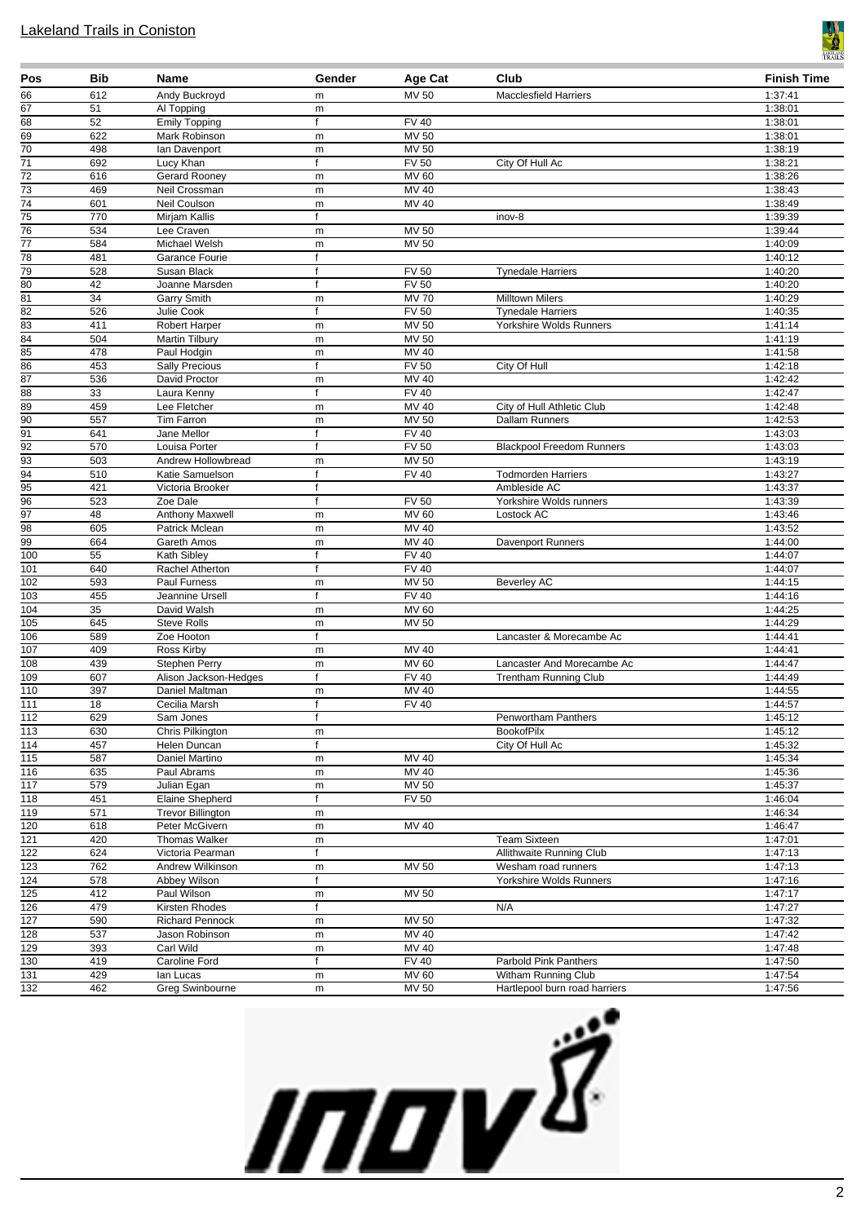

| Pos                     | Bib        | Name                                     | Gender       | Age Cat                      | Club                                               | <b>Finish Time</b> |
|-------------------------|------------|------------------------------------------|--------------|------------------------------|----------------------------------------------------|--------------------|
| 66                      | 612        | Andy Buckroyd                            | m            | MV 50                        | <b>Macclesfield Harriers</b>                       | 1:37:41            |
| 67                      | 51         | Al Topping                               | m            |                              |                                                    | 1:38:01            |
| 68                      | 52         | <b>Emily Topping</b>                     | f            | <b>FV 40</b>                 |                                                    | 1:38:01            |
| $\overline{69}$         | 622        | Mark Robinson                            | m            | <b>MV 50</b>                 |                                                    | 1:38:01            |
| $\overline{70}$<br>71   | 498<br>692 | Ian Davenport<br>Lucy Khan               | m<br>f       | <b>MV 50</b><br><b>FV 50</b> | City Of Hull Ac                                    | 1:38:19<br>1:38:21 |
| $\overline{72}$         | 616        | Gerard Rooney                            | m            | <b>MV 60</b>                 |                                                    | 1:38:26            |
| $\overline{73}$         | 469        | Neil Crossman                            | m            | MV 40                        |                                                    | 1:38:43            |
| $\overline{74}$         | 601        | Neil Coulson                             | m            | MV 40                        |                                                    | 1:38:49            |
| $\overline{75}$         | 770        | Mirjam Kallis                            | f            |                              | inov-8                                             | 1:39:39            |
| $\overline{76}$         | 534        | Lee Craven                               | m            | MV 50                        |                                                    | 1:39:44            |
| $\overline{77}$         | 584        | Michael Welsh                            | m            | MV 50                        |                                                    | 1:40:09            |
| $\overline{78}$         | 481        | Garance Fourie                           | f            |                              |                                                    | 1:40:12            |
| 79                      | 528        | Susan Black                              | f            | <b>FV 50</b>                 | <b>Tynedale Harriers</b>                           | 1:40:20            |
| 80                      | 42         | Joanne Marsden                           | $\mathsf{f}$ | <b>FV 50</b>                 |                                                    | 1:40:20            |
| 81<br>82                | 34<br>526  | Garry Smith<br>Julie Cook                | m<br>f       | <b>MV70</b><br><b>FV 50</b>  | <b>Milltown Milers</b><br><b>Tynedale Harriers</b> | 1:40:29<br>1:40:35 |
| $\overline{83}$         | 411        | <b>Robert Harper</b>                     | m            | MV 50                        | Yorkshire Wolds Runners                            | 1:41:14            |
| $\overline{84}$         | 504        | Martin Tilbury                           | m            | MV 50                        |                                                    | 1:41:19            |
| $\overline{85}$         | 478        | Paul Hodgin                              | m            | MV 40                        |                                                    | 1:41:58            |
| 86                      | 453        | <b>Sally Precious</b>                    | f            | <b>FV 50</b>                 | City Of Hull                                       | 1:42:18            |
| 87                      | 536        | David Proctor                            | m            | $MV$ 40                      |                                                    | 1:42:42            |
| 88                      | 33         | Laura Kenny                              | f            | <b>FV 40</b>                 |                                                    | 1:42:47            |
| 89                      | 459        | Lee Fletcher                             | m            | <b>MV 40</b>                 | City of Hull Athletic Club                         | 1:42:48            |
| 90                      | 557        | <b>Tim Farron</b>                        | m            | <b>MV 50</b>                 | <b>Dallam Runners</b>                              | 1:42:53            |
| 91                      | 641        | Jane Mellor                              | f            | <b>FV 40</b>                 |                                                    | 1:43:03            |
| $\overline{92}$<br>93   | 570<br>503 | Louisa Porter<br>Andrew Hollowbread      | f<br>m       | <b>FV 50</b><br>MV 50        | <b>Blackpool Freedom Runners</b>                   | 1:43:03<br>1:43:19 |
| 94                      | 510        | Katie Samuelson                          | f            | <b>FV 40</b>                 | <b>Todmorden Harriers</b>                          | 1:43:27            |
| 95                      | 421        | Victoria Brooker                         | f            |                              | Ambleside AC                                       | 1:43:37            |
| $\overline{96}$         | 523        | Zoe Dale                                 | f            | <b>FV 50</b>                 | Yorkshire Wolds runners                            | 1:43:39            |
| $\overline{97}$         | 48         | Anthony Maxwell                          | m            | MV 60                        | Lostock AC                                         | 1:43:46            |
| 98                      | 605        | Patrick Mclean                           | m            | <b>MV 40</b>                 |                                                    | 1:43:52            |
| 99                      | 664        | Gareth Amos                              | m            | MV 40                        | Davenport Runners                                  | 1:44:00            |
| 100                     | 55         | Kath Sibley                              | f            | <b>FV 40</b>                 |                                                    | 1:44:07            |
| 101                     | 640        | Rachel Atherton                          | f            | FV40                         |                                                    | 1:44:07            |
| $\overline{102}$        | 593        | Paul Furness                             | m            | <b>MV 50</b>                 | <b>Beverley AC</b>                                 | 1:44:15            |
| 103<br>$\overline{104}$ | 455<br>35  | Jeannine Ursell<br>David Walsh           | f            | <b>FV 40</b><br><b>MV 60</b> |                                                    | 1:44:16<br>1:44:25 |
| 105                     | 645        | <b>Steve Rolls</b>                       | m<br>m       | MV 50                        |                                                    | 1:44:29            |
| 106                     | 589        | Zoe Hooton                               | f            |                              | Lancaster & Morecambe Ac                           | 1:44:41            |
| 107                     | 409        | Ross Kirby                               | m            | MV 40                        |                                                    | 1:44:41            |
| 108                     | 439        | Stephen Perry                            | m            | MV 60                        | Lancaster And Morecambe Ac                         | 1:44:47            |
| 109                     | 607        | Alison Jackson-Hedges                    | f            | <b>FV 40</b>                 | <b>Trentham Running Club</b>                       | 1:44:49            |
| 110                     | 397        | Daniel Maltman                           | m            | MV 40                        |                                                    | 1:44:55            |
| 111                     | 18         | Cecilia Marsh                            | f            | <b>FV 40</b>                 |                                                    | 1:44:57            |
| 112                     | 629        | Sam Jones                                |              |                              | Penwortham Panthers                                | 1:45:12            |
| $\overline{113}$        | 630<br>457 | Chris Pilkington                         | m<br>f       |                              | <b>BookofPilx</b>                                  | 1:45:12            |
| $\overline{114}$<br>115 | 587        | Helen Duncan<br>Daniel Martino           | m            | MV 40                        | City Of Hull Ac                                    | 1:45:32<br>1:45:34 |
| $\overline{116}$        | 635        | Paul Abrams                              | m            | MV 40                        |                                                    | 1:45:36            |
| $\overline{117}$        | 579        | Julian Egan                              | m            | <b>MV 50</b>                 |                                                    | 1:45:37            |
| 118                     | 451        | Elaine Shepherd                          | f            | <b>FV 50</b>                 |                                                    | 1:46:04            |
| 119                     | 571        | <b>Trevor Billington</b>                 | m            |                              |                                                    | 1:46:34            |
| $\overline{120}$        | 618        | Peter McGivern                           | m            | MV 40                        |                                                    | 1:46:47            |
| 121                     | 420        | <b>Thomas Walker</b>                     | m            |                              | <b>Team Sixteen</b>                                | 1:47:01            |
| 122                     | 624        | Victoria Pearman                         | f            |                              | Allithwaite Running Club                           | 1:47:13            |
| $\overline{123}$        | 762        | Andrew Wilkinson                         | m            | MV 50                        | Wesham road runners                                | 1:47:13            |
| 124                     | 578        | Abbey Wilson                             |              |                              | Yorkshire Wolds Runners                            | 1:47:16            |
| $\overline{125}$        | 412        | Paul Wilson                              | m<br>f       | <b>MV 50</b>                 |                                                    | 1:47:17            |
| 126<br>127              | 479<br>590 | Kirsten Rhodes<br><b>Richard Pennock</b> | m            | MV 50                        | N/A                                                | 1:47:27<br>1:47:32 |
| 128                     | 537        | Jason Robinson                           | m            | MV 40                        |                                                    | 1:47:42            |
| 129                     | 393        | Carl Wild                                | m            | MV 40                        |                                                    | 1:47:48            |
| 130                     | 419        | Caroline Ford                            | f            | <b>FV 40</b>                 | Parbold Pink Panthers                              | 1:47:50            |
| 131                     | 429        | lan Lucas                                | m            | MV 60                        | Witham Running Club                                | 1:47:54            |
| 132                     | 462        | Greg Swinbourne                          | m            | MV 50                        | Hartlepool burn road harriers                      | 1:47:56            |

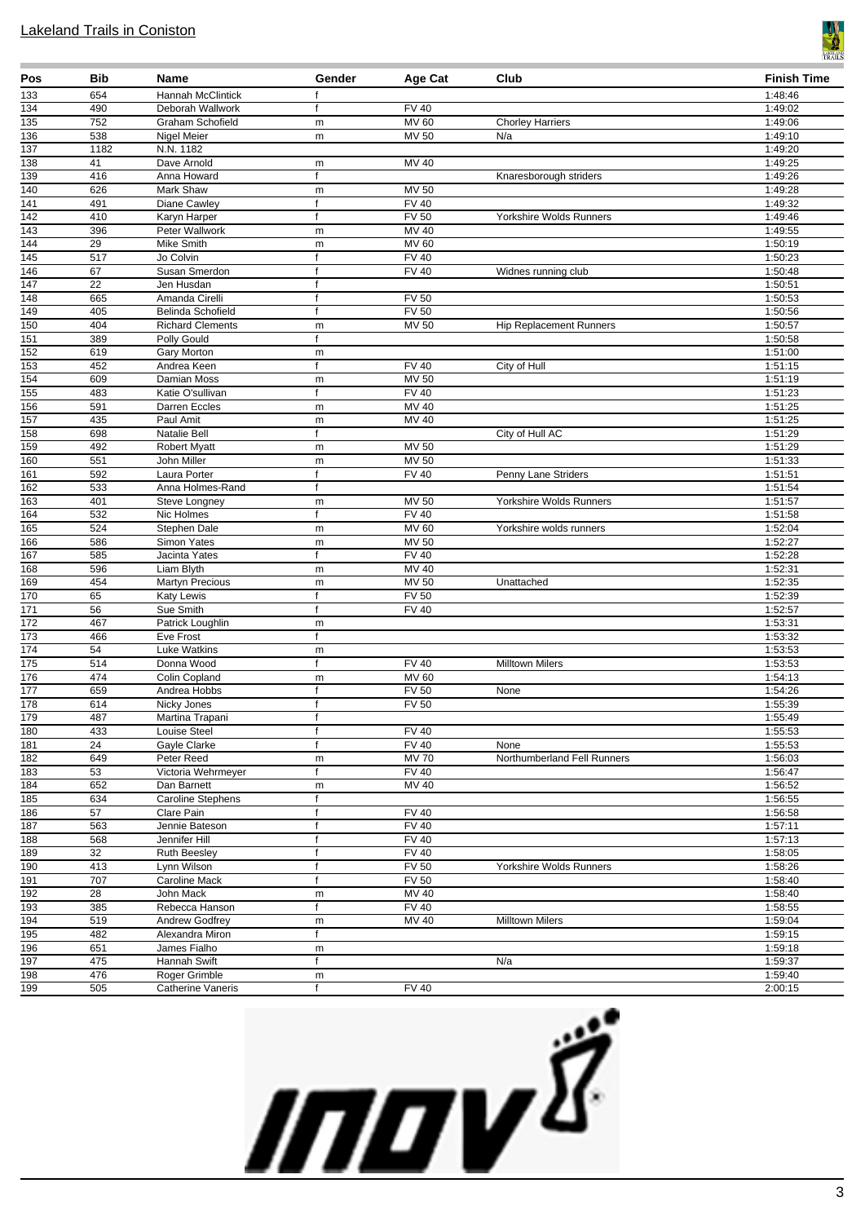

| 133<br>654<br>Hannah McClintick<br>f<br>134<br>490<br><b>FV 40</b><br>Deborah Wallwork<br>f<br>752<br><b>MV 60</b><br>135<br>Graham Schofield<br><b>Chorley Harriers</b><br>${\sf m}$<br>136<br>538<br><b>MV 50</b><br>Nigel Meier<br>N/a<br>${\sf m}$<br>137<br>1182<br>N.N. 1182<br>41<br>Dave Arnold<br>MV 40<br>138<br>m<br>139<br>416<br>Anna Howard<br>Knaresborough striders<br>f<br>626<br>140<br>Mark Shaw<br>MV 50<br>${\sf m}$<br>141<br><b>FV 40</b><br>491<br>Diane Cawley<br>$\mathsf{f}$<br><b>FV 50</b><br>142<br>410<br>Karyn Harper<br>Yorkshire Wolds Runners<br>$\mathsf{f}$<br>$\overline{143}$<br>396<br>MV 40<br>Peter Wallwork<br>m<br>$\overline{144}$<br>$\overline{29}$<br><b>MV 60</b><br>Mike Smith<br>m<br>145<br>517<br>Jo Colvin<br><b>FV 40</b><br>f<br><b>FV 40</b><br>146<br>67<br>Susan Smerdon<br>$\mathsf{f}$<br>Widnes running club<br>22<br>147<br>Jen Husdan<br>$\mathsf{f}$<br>148<br><b>FV 50</b><br>665<br>Amanda Cirelli<br>f<br><b>FV 50</b><br>149<br>405<br>Belinda Schofield<br>f<br>150<br>404<br>$MV$ 50<br><b>Richard Clements</b><br><b>Hip Replacement Runners</b><br>m<br>151<br>389<br>Polly Gould<br>$\mathsf{f}$<br>152<br>619<br>Gary Morton<br>m<br>153<br>452<br><b>FV 40</b><br>Andrea Keen<br>$\mathbf f$<br>City of Hull<br>154<br>609<br><b>MV 50</b><br>Damian Moss<br>${\sf m}$<br><b>FV 40</b><br>483<br>155<br>Katie O'sullivan<br>f<br><b>MV 40</b><br>156<br>591<br>Darren Eccles<br>m<br>$\overline{157}$<br><b>MV 40</b><br>435<br>Paul Amit<br>m<br>158<br>698<br>Natalie Bell<br>City of Hull AC<br>f<br>159<br><b>MV 50</b><br>492<br><b>Robert Myatt</b><br>${\sf m}$<br>160<br>551<br><b>MV 50</b><br>John Miller<br>m<br>161<br>592<br><b>FV 40</b><br>Laura Porter<br>f<br>Penny Lane Striders<br>162<br>533<br>Anna Holmes-Rand<br>f<br>163<br>401<br>MV 50<br>Yorkshire Wolds Runners<br>Steve Longney<br>${\sf m}$<br><b>FV 40</b><br>164<br>532<br>Nic Holmes<br>f<br><b>MV 60</b><br>165<br>524<br>Stephen Dale<br>Yorkshire wolds runners<br>m<br>586<br><b>MV 50</b><br>166<br>Simon Yates<br>m<br><b>FV 40</b><br>585<br>167<br>Jacinta Yates<br>f<br>168<br>596<br>Liam Blyth<br>MV 40<br>${\sf m}$<br>169<br>454<br><b>MV 50</b><br><b>Martyn Precious</b><br>Unattached<br>m<br>170<br>$\overline{FV}$ 50<br>65<br>Katy Lewis<br>f<br>$\overline{171}$<br>56<br><b>FV 40</b><br>Sue Smith<br>f<br>$\overline{172}$<br>467<br>Patrick Loughlin<br>m<br>173<br>466<br>Eve Frost<br>f<br>54<br>174<br><b>Luke Watkins</b><br>${\sf m}$<br>175<br><b>FV 40</b><br>514<br>Donna Wood<br><b>Milltown Milers</b><br>f<br>474<br>MV 60<br>176<br>Colin Copland<br>m<br>177<br>659<br><b>FV 50</b><br>Andrea Hobbs<br>None<br>f<br>178<br>614<br>FV <sub>50</sub><br>Nicky Jones<br>$\mathsf{f}$<br>179<br>487<br>Martina Trapani<br>Ť.<br>180<br>433<br><b>FV 40</b><br>Louise Steel<br>$\mathsf{f}$<br>181<br>24<br><b>FV 40</b><br>Gayle Clarke<br>f<br>None<br>182<br>649<br><b>MV 70</b><br>Peter Reed<br>Northumberland Fell Runners<br>${\sf m}$<br>$\overline{183}$<br>53<br><b>FV 40</b><br>Victoria Wehrmeyer<br>f<br>184<br>652<br>MV 40<br>Dan Barnett<br>${\sf m}$<br>$\mathsf{f}$ | <b>Finish Time</b> |
|-----------------------------------------------------------------------------------------------------------------------------------------------------------------------------------------------------------------------------------------------------------------------------------------------------------------------------------------------------------------------------------------------------------------------------------------------------------------------------------------------------------------------------------------------------------------------------------------------------------------------------------------------------------------------------------------------------------------------------------------------------------------------------------------------------------------------------------------------------------------------------------------------------------------------------------------------------------------------------------------------------------------------------------------------------------------------------------------------------------------------------------------------------------------------------------------------------------------------------------------------------------------------------------------------------------------------------------------------------------------------------------------------------------------------------------------------------------------------------------------------------------------------------------------------------------------------------------------------------------------------------------------------------------------------------------------------------------------------------------------------------------------------------------------------------------------------------------------------------------------------------------------------------------------------------------------------------------------------------------------------------------------------------------------------------------------------------------------------------------------------------------------------------------------------------------------------------------------------------------------------------------------------------------------------------------------------------------------------------------------------------------------------------------------------------------------------------------------------------------------------------------------------------------------------------------------------------------------------------------------------------------------------------------------------------------------------------------------------------------------------------------------------------------------------------------------------------------------------------------------------------------------------------------------------------------------------------------------------------------------------------------------------------------------------------------------------------------------------------------------------------------------------------------------------------------|--------------------|
|                                                                                                                                                                                                                                                                                                                                                                                                                                                                                                                                                                                                                                                                                                                                                                                                                                                                                                                                                                                                                                                                                                                                                                                                                                                                                                                                                                                                                                                                                                                                                                                                                                                                                                                                                                                                                                                                                                                                                                                                                                                                                                                                                                                                                                                                                                                                                                                                                                                                                                                                                                                                                                                                                                                                                                                                                                                                                                                                                                                                                                                                                                                                                                                   | 1:48:46            |
|                                                                                                                                                                                                                                                                                                                                                                                                                                                                                                                                                                                                                                                                                                                                                                                                                                                                                                                                                                                                                                                                                                                                                                                                                                                                                                                                                                                                                                                                                                                                                                                                                                                                                                                                                                                                                                                                                                                                                                                                                                                                                                                                                                                                                                                                                                                                                                                                                                                                                                                                                                                                                                                                                                                                                                                                                                                                                                                                                                                                                                                                                                                                                                                   | 1:49:02            |
|                                                                                                                                                                                                                                                                                                                                                                                                                                                                                                                                                                                                                                                                                                                                                                                                                                                                                                                                                                                                                                                                                                                                                                                                                                                                                                                                                                                                                                                                                                                                                                                                                                                                                                                                                                                                                                                                                                                                                                                                                                                                                                                                                                                                                                                                                                                                                                                                                                                                                                                                                                                                                                                                                                                                                                                                                                                                                                                                                                                                                                                                                                                                                                                   | 1:49:06            |
|                                                                                                                                                                                                                                                                                                                                                                                                                                                                                                                                                                                                                                                                                                                                                                                                                                                                                                                                                                                                                                                                                                                                                                                                                                                                                                                                                                                                                                                                                                                                                                                                                                                                                                                                                                                                                                                                                                                                                                                                                                                                                                                                                                                                                                                                                                                                                                                                                                                                                                                                                                                                                                                                                                                                                                                                                                                                                                                                                                                                                                                                                                                                                                                   | 1:49:10            |
|                                                                                                                                                                                                                                                                                                                                                                                                                                                                                                                                                                                                                                                                                                                                                                                                                                                                                                                                                                                                                                                                                                                                                                                                                                                                                                                                                                                                                                                                                                                                                                                                                                                                                                                                                                                                                                                                                                                                                                                                                                                                                                                                                                                                                                                                                                                                                                                                                                                                                                                                                                                                                                                                                                                                                                                                                                                                                                                                                                                                                                                                                                                                                                                   | 1:49:20            |
|                                                                                                                                                                                                                                                                                                                                                                                                                                                                                                                                                                                                                                                                                                                                                                                                                                                                                                                                                                                                                                                                                                                                                                                                                                                                                                                                                                                                                                                                                                                                                                                                                                                                                                                                                                                                                                                                                                                                                                                                                                                                                                                                                                                                                                                                                                                                                                                                                                                                                                                                                                                                                                                                                                                                                                                                                                                                                                                                                                                                                                                                                                                                                                                   | 1:49:25            |
|                                                                                                                                                                                                                                                                                                                                                                                                                                                                                                                                                                                                                                                                                                                                                                                                                                                                                                                                                                                                                                                                                                                                                                                                                                                                                                                                                                                                                                                                                                                                                                                                                                                                                                                                                                                                                                                                                                                                                                                                                                                                                                                                                                                                                                                                                                                                                                                                                                                                                                                                                                                                                                                                                                                                                                                                                                                                                                                                                                                                                                                                                                                                                                                   | 1:49:26<br>1:49:28 |
|                                                                                                                                                                                                                                                                                                                                                                                                                                                                                                                                                                                                                                                                                                                                                                                                                                                                                                                                                                                                                                                                                                                                                                                                                                                                                                                                                                                                                                                                                                                                                                                                                                                                                                                                                                                                                                                                                                                                                                                                                                                                                                                                                                                                                                                                                                                                                                                                                                                                                                                                                                                                                                                                                                                                                                                                                                                                                                                                                                                                                                                                                                                                                                                   | 1:49:32            |
|                                                                                                                                                                                                                                                                                                                                                                                                                                                                                                                                                                                                                                                                                                                                                                                                                                                                                                                                                                                                                                                                                                                                                                                                                                                                                                                                                                                                                                                                                                                                                                                                                                                                                                                                                                                                                                                                                                                                                                                                                                                                                                                                                                                                                                                                                                                                                                                                                                                                                                                                                                                                                                                                                                                                                                                                                                                                                                                                                                                                                                                                                                                                                                                   | 1:49:46            |
|                                                                                                                                                                                                                                                                                                                                                                                                                                                                                                                                                                                                                                                                                                                                                                                                                                                                                                                                                                                                                                                                                                                                                                                                                                                                                                                                                                                                                                                                                                                                                                                                                                                                                                                                                                                                                                                                                                                                                                                                                                                                                                                                                                                                                                                                                                                                                                                                                                                                                                                                                                                                                                                                                                                                                                                                                                                                                                                                                                                                                                                                                                                                                                                   | 1:49:55            |
|                                                                                                                                                                                                                                                                                                                                                                                                                                                                                                                                                                                                                                                                                                                                                                                                                                                                                                                                                                                                                                                                                                                                                                                                                                                                                                                                                                                                                                                                                                                                                                                                                                                                                                                                                                                                                                                                                                                                                                                                                                                                                                                                                                                                                                                                                                                                                                                                                                                                                                                                                                                                                                                                                                                                                                                                                                                                                                                                                                                                                                                                                                                                                                                   | 1:50:19            |
|                                                                                                                                                                                                                                                                                                                                                                                                                                                                                                                                                                                                                                                                                                                                                                                                                                                                                                                                                                                                                                                                                                                                                                                                                                                                                                                                                                                                                                                                                                                                                                                                                                                                                                                                                                                                                                                                                                                                                                                                                                                                                                                                                                                                                                                                                                                                                                                                                                                                                                                                                                                                                                                                                                                                                                                                                                                                                                                                                                                                                                                                                                                                                                                   | 1:50:23            |
|                                                                                                                                                                                                                                                                                                                                                                                                                                                                                                                                                                                                                                                                                                                                                                                                                                                                                                                                                                                                                                                                                                                                                                                                                                                                                                                                                                                                                                                                                                                                                                                                                                                                                                                                                                                                                                                                                                                                                                                                                                                                                                                                                                                                                                                                                                                                                                                                                                                                                                                                                                                                                                                                                                                                                                                                                                                                                                                                                                                                                                                                                                                                                                                   | 1:50:48            |
|                                                                                                                                                                                                                                                                                                                                                                                                                                                                                                                                                                                                                                                                                                                                                                                                                                                                                                                                                                                                                                                                                                                                                                                                                                                                                                                                                                                                                                                                                                                                                                                                                                                                                                                                                                                                                                                                                                                                                                                                                                                                                                                                                                                                                                                                                                                                                                                                                                                                                                                                                                                                                                                                                                                                                                                                                                                                                                                                                                                                                                                                                                                                                                                   | 1:50:51            |
|                                                                                                                                                                                                                                                                                                                                                                                                                                                                                                                                                                                                                                                                                                                                                                                                                                                                                                                                                                                                                                                                                                                                                                                                                                                                                                                                                                                                                                                                                                                                                                                                                                                                                                                                                                                                                                                                                                                                                                                                                                                                                                                                                                                                                                                                                                                                                                                                                                                                                                                                                                                                                                                                                                                                                                                                                                                                                                                                                                                                                                                                                                                                                                                   | 1:50:53            |
|                                                                                                                                                                                                                                                                                                                                                                                                                                                                                                                                                                                                                                                                                                                                                                                                                                                                                                                                                                                                                                                                                                                                                                                                                                                                                                                                                                                                                                                                                                                                                                                                                                                                                                                                                                                                                                                                                                                                                                                                                                                                                                                                                                                                                                                                                                                                                                                                                                                                                                                                                                                                                                                                                                                                                                                                                                                                                                                                                                                                                                                                                                                                                                                   | 1:50:56            |
|                                                                                                                                                                                                                                                                                                                                                                                                                                                                                                                                                                                                                                                                                                                                                                                                                                                                                                                                                                                                                                                                                                                                                                                                                                                                                                                                                                                                                                                                                                                                                                                                                                                                                                                                                                                                                                                                                                                                                                                                                                                                                                                                                                                                                                                                                                                                                                                                                                                                                                                                                                                                                                                                                                                                                                                                                                                                                                                                                                                                                                                                                                                                                                                   | 1:50:57<br>1:50:58 |
|                                                                                                                                                                                                                                                                                                                                                                                                                                                                                                                                                                                                                                                                                                                                                                                                                                                                                                                                                                                                                                                                                                                                                                                                                                                                                                                                                                                                                                                                                                                                                                                                                                                                                                                                                                                                                                                                                                                                                                                                                                                                                                                                                                                                                                                                                                                                                                                                                                                                                                                                                                                                                                                                                                                                                                                                                                                                                                                                                                                                                                                                                                                                                                                   | 1:51:00            |
|                                                                                                                                                                                                                                                                                                                                                                                                                                                                                                                                                                                                                                                                                                                                                                                                                                                                                                                                                                                                                                                                                                                                                                                                                                                                                                                                                                                                                                                                                                                                                                                                                                                                                                                                                                                                                                                                                                                                                                                                                                                                                                                                                                                                                                                                                                                                                                                                                                                                                                                                                                                                                                                                                                                                                                                                                                                                                                                                                                                                                                                                                                                                                                                   | 1:51:15            |
|                                                                                                                                                                                                                                                                                                                                                                                                                                                                                                                                                                                                                                                                                                                                                                                                                                                                                                                                                                                                                                                                                                                                                                                                                                                                                                                                                                                                                                                                                                                                                                                                                                                                                                                                                                                                                                                                                                                                                                                                                                                                                                                                                                                                                                                                                                                                                                                                                                                                                                                                                                                                                                                                                                                                                                                                                                                                                                                                                                                                                                                                                                                                                                                   | 1:51:19            |
|                                                                                                                                                                                                                                                                                                                                                                                                                                                                                                                                                                                                                                                                                                                                                                                                                                                                                                                                                                                                                                                                                                                                                                                                                                                                                                                                                                                                                                                                                                                                                                                                                                                                                                                                                                                                                                                                                                                                                                                                                                                                                                                                                                                                                                                                                                                                                                                                                                                                                                                                                                                                                                                                                                                                                                                                                                                                                                                                                                                                                                                                                                                                                                                   | 1:51:23            |
|                                                                                                                                                                                                                                                                                                                                                                                                                                                                                                                                                                                                                                                                                                                                                                                                                                                                                                                                                                                                                                                                                                                                                                                                                                                                                                                                                                                                                                                                                                                                                                                                                                                                                                                                                                                                                                                                                                                                                                                                                                                                                                                                                                                                                                                                                                                                                                                                                                                                                                                                                                                                                                                                                                                                                                                                                                                                                                                                                                                                                                                                                                                                                                                   | 1:51:25            |
|                                                                                                                                                                                                                                                                                                                                                                                                                                                                                                                                                                                                                                                                                                                                                                                                                                                                                                                                                                                                                                                                                                                                                                                                                                                                                                                                                                                                                                                                                                                                                                                                                                                                                                                                                                                                                                                                                                                                                                                                                                                                                                                                                                                                                                                                                                                                                                                                                                                                                                                                                                                                                                                                                                                                                                                                                                                                                                                                                                                                                                                                                                                                                                                   | 1:51:25            |
|                                                                                                                                                                                                                                                                                                                                                                                                                                                                                                                                                                                                                                                                                                                                                                                                                                                                                                                                                                                                                                                                                                                                                                                                                                                                                                                                                                                                                                                                                                                                                                                                                                                                                                                                                                                                                                                                                                                                                                                                                                                                                                                                                                                                                                                                                                                                                                                                                                                                                                                                                                                                                                                                                                                                                                                                                                                                                                                                                                                                                                                                                                                                                                                   | 1:51:29            |
|                                                                                                                                                                                                                                                                                                                                                                                                                                                                                                                                                                                                                                                                                                                                                                                                                                                                                                                                                                                                                                                                                                                                                                                                                                                                                                                                                                                                                                                                                                                                                                                                                                                                                                                                                                                                                                                                                                                                                                                                                                                                                                                                                                                                                                                                                                                                                                                                                                                                                                                                                                                                                                                                                                                                                                                                                                                                                                                                                                                                                                                                                                                                                                                   | 1:51:29            |
|                                                                                                                                                                                                                                                                                                                                                                                                                                                                                                                                                                                                                                                                                                                                                                                                                                                                                                                                                                                                                                                                                                                                                                                                                                                                                                                                                                                                                                                                                                                                                                                                                                                                                                                                                                                                                                                                                                                                                                                                                                                                                                                                                                                                                                                                                                                                                                                                                                                                                                                                                                                                                                                                                                                                                                                                                                                                                                                                                                                                                                                                                                                                                                                   | 1:51:33            |
|                                                                                                                                                                                                                                                                                                                                                                                                                                                                                                                                                                                                                                                                                                                                                                                                                                                                                                                                                                                                                                                                                                                                                                                                                                                                                                                                                                                                                                                                                                                                                                                                                                                                                                                                                                                                                                                                                                                                                                                                                                                                                                                                                                                                                                                                                                                                                                                                                                                                                                                                                                                                                                                                                                                                                                                                                                                                                                                                                                                                                                                                                                                                                                                   | 1:51:51            |
|                                                                                                                                                                                                                                                                                                                                                                                                                                                                                                                                                                                                                                                                                                                                                                                                                                                                                                                                                                                                                                                                                                                                                                                                                                                                                                                                                                                                                                                                                                                                                                                                                                                                                                                                                                                                                                                                                                                                                                                                                                                                                                                                                                                                                                                                                                                                                                                                                                                                                                                                                                                                                                                                                                                                                                                                                                                                                                                                                                                                                                                                                                                                                                                   | 1:51:54            |
|                                                                                                                                                                                                                                                                                                                                                                                                                                                                                                                                                                                                                                                                                                                                                                                                                                                                                                                                                                                                                                                                                                                                                                                                                                                                                                                                                                                                                                                                                                                                                                                                                                                                                                                                                                                                                                                                                                                                                                                                                                                                                                                                                                                                                                                                                                                                                                                                                                                                                                                                                                                                                                                                                                                                                                                                                                                                                                                                                                                                                                                                                                                                                                                   | 1:51:57<br>1:51:58 |
|                                                                                                                                                                                                                                                                                                                                                                                                                                                                                                                                                                                                                                                                                                                                                                                                                                                                                                                                                                                                                                                                                                                                                                                                                                                                                                                                                                                                                                                                                                                                                                                                                                                                                                                                                                                                                                                                                                                                                                                                                                                                                                                                                                                                                                                                                                                                                                                                                                                                                                                                                                                                                                                                                                                                                                                                                                                                                                                                                                                                                                                                                                                                                                                   | 1:52:04            |
|                                                                                                                                                                                                                                                                                                                                                                                                                                                                                                                                                                                                                                                                                                                                                                                                                                                                                                                                                                                                                                                                                                                                                                                                                                                                                                                                                                                                                                                                                                                                                                                                                                                                                                                                                                                                                                                                                                                                                                                                                                                                                                                                                                                                                                                                                                                                                                                                                                                                                                                                                                                                                                                                                                                                                                                                                                                                                                                                                                                                                                                                                                                                                                                   | 1:52:27            |
|                                                                                                                                                                                                                                                                                                                                                                                                                                                                                                                                                                                                                                                                                                                                                                                                                                                                                                                                                                                                                                                                                                                                                                                                                                                                                                                                                                                                                                                                                                                                                                                                                                                                                                                                                                                                                                                                                                                                                                                                                                                                                                                                                                                                                                                                                                                                                                                                                                                                                                                                                                                                                                                                                                                                                                                                                                                                                                                                                                                                                                                                                                                                                                                   | 1:52:28            |
|                                                                                                                                                                                                                                                                                                                                                                                                                                                                                                                                                                                                                                                                                                                                                                                                                                                                                                                                                                                                                                                                                                                                                                                                                                                                                                                                                                                                                                                                                                                                                                                                                                                                                                                                                                                                                                                                                                                                                                                                                                                                                                                                                                                                                                                                                                                                                                                                                                                                                                                                                                                                                                                                                                                                                                                                                                                                                                                                                                                                                                                                                                                                                                                   | 1:52:31            |
|                                                                                                                                                                                                                                                                                                                                                                                                                                                                                                                                                                                                                                                                                                                                                                                                                                                                                                                                                                                                                                                                                                                                                                                                                                                                                                                                                                                                                                                                                                                                                                                                                                                                                                                                                                                                                                                                                                                                                                                                                                                                                                                                                                                                                                                                                                                                                                                                                                                                                                                                                                                                                                                                                                                                                                                                                                                                                                                                                                                                                                                                                                                                                                                   | 1:52:35            |
|                                                                                                                                                                                                                                                                                                                                                                                                                                                                                                                                                                                                                                                                                                                                                                                                                                                                                                                                                                                                                                                                                                                                                                                                                                                                                                                                                                                                                                                                                                                                                                                                                                                                                                                                                                                                                                                                                                                                                                                                                                                                                                                                                                                                                                                                                                                                                                                                                                                                                                                                                                                                                                                                                                                                                                                                                                                                                                                                                                                                                                                                                                                                                                                   | 1:52:39            |
|                                                                                                                                                                                                                                                                                                                                                                                                                                                                                                                                                                                                                                                                                                                                                                                                                                                                                                                                                                                                                                                                                                                                                                                                                                                                                                                                                                                                                                                                                                                                                                                                                                                                                                                                                                                                                                                                                                                                                                                                                                                                                                                                                                                                                                                                                                                                                                                                                                                                                                                                                                                                                                                                                                                                                                                                                                                                                                                                                                                                                                                                                                                                                                                   | 1:52:57            |
|                                                                                                                                                                                                                                                                                                                                                                                                                                                                                                                                                                                                                                                                                                                                                                                                                                                                                                                                                                                                                                                                                                                                                                                                                                                                                                                                                                                                                                                                                                                                                                                                                                                                                                                                                                                                                                                                                                                                                                                                                                                                                                                                                                                                                                                                                                                                                                                                                                                                                                                                                                                                                                                                                                                                                                                                                                                                                                                                                                                                                                                                                                                                                                                   | 1:53:31            |
|                                                                                                                                                                                                                                                                                                                                                                                                                                                                                                                                                                                                                                                                                                                                                                                                                                                                                                                                                                                                                                                                                                                                                                                                                                                                                                                                                                                                                                                                                                                                                                                                                                                                                                                                                                                                                                                                                                                                                                                                                                                                                                                                                                                                                                                                                                                                                                                                                                                                                                                                                                                                                                                                                                                                                                                                                                                                                                                                                                                                                                                                                                                                                                                   | 1:53:32            |
|                                                                                                                                                                                                                                                                                                                                                                                                                                                                                                                                                                                                                                                                                                                                                                                                                                                                                                                                                                                                                                                                                                                                                                                                                                                                                                                                                                                                                                                                                                                                                                                                                                                                                                                                                                                                                                                                                                                                                                                                                                                                                                                                                                                                                                                                                                                                                                                                                                                                                                                                                                                                                                                                                                                                                                                                                                                                                                                                                                                                                                                                                                                                                                                   | 1:53:53<br>1:53:53 |
|                                                                                                                                                                                                                                                                                                                                                                                                                                                                                                                                                                                                                                                                                                                                                                                                                                                                                                                                                                                                                                                                                                                                                                                                                                                                                                                                                                                                                                                                                                                                                                                                                                                                                                                                                                                                                                                                                                                                                                                                                                                                                                                                                                                                                                                                                                                                                                                                                                                                                                                                                                                                                                                                                                                                                                                                                                                                                                                                                                                                                                                                                                                                                                                   | 1:54:13            |
|                                                                                                                                                                                                                                                                                                                                                                                                                                                                                                                                                                                                                                                                                                                                                                                                                                                                                                                                                                                                                                                                                                                                                                                                                                                                                                                                                                                                                                                                                                                                                                                                                                                                                                                                                                                                                                                                                                                                                                                                                                                                                                                                                                                                                                                                                                                                                                                                                                                                                                                                                                                                                                                                                                                                                                                                                                                                                                                                                                                                                                                                                                                                                                                   | 1:54:26            |
|                                                                                                                                                                                                                                                                                                                                                                                                                                                                                                                                                                                                                                                                                                                                                                                                                                                                                                                                                                                                                                                                                                                                                                                                                                                                                                                                                                                                                                                                                                                                                                                                                                                                                                                                                                                                                                                                                                                                                                                                                                                                                                                                                                                                                                                                                                                                                                                                                                                                                                                                                                                                                                                                                                                                                                                                                                                                                                                                                                                                                                                                                                                                                                                   | 1:55:39            |
|                                                                                                                                                                                                                                                                                                                                                                                                                                                                                                                                                                                                                                                                                                                                                                                                                                                                                                                                                                                                                                                                                                                                                                                                                                                                                                                                                                                                                                                                                                                                                                                                                                                                                                                                                                                                                                                                                                                                                                                                                                                                                                                                                                                                                                                                                                                                                                                                                                                                                                                                                                                                                                                                                                                                                                                                                                                                                                                                                                                                                                                                                                                                                                                   | 1:55:49            |
|                                                                                                                                                                                                                                                                                                                                                                                                                                                                                                                                                                                                                                                                                                                                                                                                                                                                                                                                                                                                                                                                                                                                                                                                                                                                                                                                                                                                                                                                                                                                                                                                                                                                                                                                                                                                                                                                                                                                                                                                                                                                                                                                                                                                                                                                                                                                                                                                                                                                                                                                                                                                                                                                                                                                                                                                                                                                                                                                                                                                                                                                                                                                                                                   | 1:55:53            |
|                                                                                                                                                                                                                                                                                                                                                                                                                                                                                                                                                                                                                                                                                                                                                                                                                                                                                                                                                                                                                                                                                                                                                                                                                                                                                                                                                                                                                                                                                                                                                                                                                                                                                                                                                                                                                                                                                                                                                                                                                                                                                                                                                                                                                                                                                                                                                                                                                                                                                                                                                                                                                                                                                                                                                                                                                                                                                                                                                                                                                                                                                                                                                                                   | 1:55:53            |
|                                                                                                                                                                                                                                                                                                                                                                                                                                                                                                                                                                                                                                                                                                                                                                                                                                                                                                                                                                                                                                                                                                                                                                                                                                                                                                                                                                                                                                                                                                                                                                                                                                                                                                                                                                                                                                                                                                                                                                                                                                                                                                                                                                                                                                                                                                                                                                                                                                                                                                                                                                                                                                                                                                                                                                                                                                                                                                                                                                                                                                                                                                                                                                                   | 1:56:03            |
|                                                                                                                                                                                                                                                                                                                                                                                                                                                                                                                                                                                                                                                                                                                                                                                                                                                                                                                                                                                                                                                                                                                                                                                                                                                                                                                                                                                                                                                                                                                                                                                                                                                                                                                                                                                                                                                                                                                                                                                                                                                                                                                                                                                                                                                                                                                                                                                                                                                                                                                                                                                                                                                                                                                                                                                                                                                                                                                                                                                                                                                                                                                                                                                   | 1:56:47            |
|                                                                                                                                                                                                                                                                                                                                                                                                                                                                                                                                                                                                                                                                                                                                                                                                                                                                                                                                                                                                                                                                                                                                                                                                                                                                                                                                                                                                                                                                                                                                                                                                                                                                                                                                                                                                                                                                                                                                                                                                                                                                                                                                                                                                                                                                                                                                                                                                                                                                                                                                                                                                                                                                                                                                                                                                                                                                                                                                                                                                                                                                                                                                                                                   | 1:56:52            |
| 185<br>634<br>Caroline Stephens<br>$\overline{57}$<br>186<br><b>FV 40</b><br>Clare Pain<br>f                                                                                                                                                                                                                                                                                                                                                                                                                                                                                                                                                                                                                                                                                                                                                                                                                                                                                                                                                                                                                                                                                                                                                                                                                                                                                                                                                                                                                                                                                                                                                                                                                                                                                                                                                                                                                                                                                                                                                                                                                                                                                                                                                                                                                                                                                                                                                                                                                                                                                                                                                                                                                                                                                                                                                                                                                                                                                                                                                                                                                                                                                      | 1:56:55<br>1:56:58 |
| 187<br>563<br><b>FV 40</b><br>Jennie Bateson<br>$\mathsf{f}$                                                                                                                                                                                                                                                                                                                                                                                                                                                                                                                                                                                                                                                                                                                                                                                                                                                                                                                                                                                                                                                                                                                                                                                                                                                                                                                                                                                                                                                                                                                                                                                                                                                                                                                                                                                                                                                                                                                                                                                                                                                                                                                                                                                                                                                                                                                                                                                                                                                                                                                                                                                                                                                                                                                                                                                                                                                                                                                                                                                                                                                                                                                      | 1:57:11            |
| 188<br><b>FV 40</b><br>568<br>Jennifer Hill<br>$\mathsf{f}$                                                                                                                                                                                                                                                                                                                                                                                                                                                                                                                                                                                                                                                                                                                                                                                                                                                                                                                                                                                                                                                                                                                                                                                                                                                                                                                                                                                                                                                                                                                                                                                                                                                                                                                                                                                                                                                                                                                                                                                                                                                                                                                                                                                                                                                                                                                                                                                                                                                                                                                                                                                                                                                                                                                                                                                                                                                                                                                                                                                                                                                                                                                       | 1:57:13            |
| 32<br>189<br><b>FV 40</b><br>Ruth Beesley<br>$\mathbf f$                                                                                                                                                                                                                                                                                                                                                                                                                                                                                                                                                                                                                                                                                                                                                                                                                                                                                                                                                                                                                                                                                                                                                                                                                                                                                                                                                                                                                                                                                                                                                                                                                                                                                                                                                                                                                                                                                                                                                                                                                                                                                                                                                                                                                                                                                                                                                                                                                                                                                                                                                                                                                                                                                                                                                                                                                                                                                                                                                                                                                                                                                                                          | 1:58:05            |
| 190<br>413<br><b>FV 50</b><br>Lynn Wilson<br>$\mathbf f$<br>Yorkshire Wolds Runners                                                                                                                                                                                                                                                                                                                                                                                                                                                                                                                                                                                                                                                                                                                                                                                                                                                                                                                                                                                                                                                                                                                                                                                                                                                                                                                                                                                                                                                                                                                                                                                                                                                                                                                                                                                                                                                                                                                                                                                                                                                                                                                                                                                                                                                                                                                                                                                                                                                                                                                                                                                                                                                                                                                                                                                                                                                                                                                                                                                                                                                                                               | 1:58:26            |
| 707<br>FV 50<br>191<br>Caroline Mack<br>f                                                                                                                                                                                                                                                                                                                                                                                                                                                                                                                                                                                                                                                                                                                                                                                                                                                                                                                                                                                                                                                                                                                                                                                                                                                                                                                                                                                                                                                                                                                                                                                                                                                                                                                                                                                                                                                                                                                                                                                                                                                                                                                                                                                                                                                                                                                                                                                                                                                                                                                                                                                                                                                                                                                                                                                                                                                                                                                                                                                                                                                                                                                                         | 1:58:40            |
| 192<br>$\overline{28}$<br><b>MV 40</b><br>John Mack<br>${\sf m}$                                                                                                                                                                                                                                                                                                                                                                                                                                                                                                                                                                                                                                                                                                                                                                                                                                                                                                                                                                                                                                                                                                                                                                                                                                                                                                                                                                                                                                                                                                                                                                                                                                                                                                                                                                                                                                                                                                                                                                                                                                                                                                                                                                                                                                                                                                                                                                                                                                                                                                                                                                                                                                                                                                                                                                                                                                                                                                                                                                                                                                                                                                                  | 1:58:40            |
| 385<br>FV40<br>193<br>Rebecca Hanson<br>f                                                                                                                                                                                                                                                                                                                                                                                                                                                                                                                                                                                                                                                                                                                                                                                                                                                                                                                                                                                                                                                                                                                                                                                                                                                                                                                                                                                                                                                                                                                                                                                                                                                                                                                                                                                                                                                                                                                                                                                                                                                                                                                                                                                                                                                                                                                                                                                                                                                                                                                                                                                                                                                                                                                                                                                                                                                                                                                                                                                                                                                                                                                                         | 1:58:55            |
| 194<br>519<br>MV 40<br>Andrew Godfrey<br><b>Milltown Milers</b><br>${\sf m}$                                                                                                                                                                                                                                                                                                                                                                                                                                                                                                                                                                                                                                                                                                                                                                                                                                                                                                                                                                                                                                                                                                                                                                                                                                                                                                                                                                                                                                                                                                                                                                                                                                                                                                                                                                                                                                                                                                                                                                                                                                                                                                                                                                                                                                                                                                                                                                                                                                                                                                                                                                                                                                                                                                                                                                                                                                                                                                                                                                                                                                                                                                      | 1:59:04            |
| 195<br>482<br>Alexandra Miron<br>f                                                                                                                                                                                                                                                                                                                                                                                                                                                                                                                                                                                                                                                                                                                                                                                                                                                                                                                                                                                                                                                                                                                                                                                                                                                                                                                                                                                                                                                                                                                                                                                                                                                                                                                                                                                                                                                                                                                                                                                                                                                                                                                                                                                                                                                                                                                                                                                                                                                                                                                                                                                                                                                                                                                                                                                                                                                                                                                                                                                                                                                                                                                                                | 1:59:15            |
| 651<br>196<br>James Fialho<br>${\sf m}$<br>f                                                                                                                                                                                                                                                                                                                                                                                                                                                                                                                                                                                                                                                                                                                                                                                                                                                                                                                                                                                                                                                                                                                                                                                                                                                                                                                                                                                                                                                                                                                                                                                                                                                                                                                                                                                                                                                                                                                                                                                                                                                                                                                                                                                                                                                                                                                                                                                                                                                                                                                                                                                                                                                                                                                                                                                                                                                                                                                                                                                                                                                                                                                                      | 1:59:18            |
| $\overline{197}$<br>475<br>Hannah Swift<br>N/a<br>$\overline{198}$<br>476<br>Roger Grimble<br>${\sf m}$                                                                                                                                                                                                                                                                                                                                                                                                                                                                                                                                                                                                                                                                                                                                                                                                                                                                                                                                                                                                                                                                                                                                                                                                                                                                                                                                                                                                                                                                                                                                                                                                                                                                                                                                                                                                                                                                                                                                                                                                                                                                                                                                                                                                                                                                                                                                                                                                                                                                                                                                                                                                                                                                                                                                                                                                                                                                                                                                                                                                                                                                           | 1:59:37<br>1:59:40 |
| 199<br>505<br><b>FV 40</b><br><b>Catherine Vaneris</b><br>f                                                                                                                                                                                                                                                                                                                                                                                                                                                                                                                                                                                                                                                                                                                                                                                                                                                                                                                                                                                                                                                                                                                                                                                                                                                                                                                                                                                                                                                                                                                                                                                                                                                                                                                                                                                                                                                                                                                                                                                                                                                                                                                                                                                                                                                                                                                                                                                                                                                                                                                                                                                                                                                                                                                                                                                                                                                                                                                                                                                                                                                                                                                       | 2:00:15            |

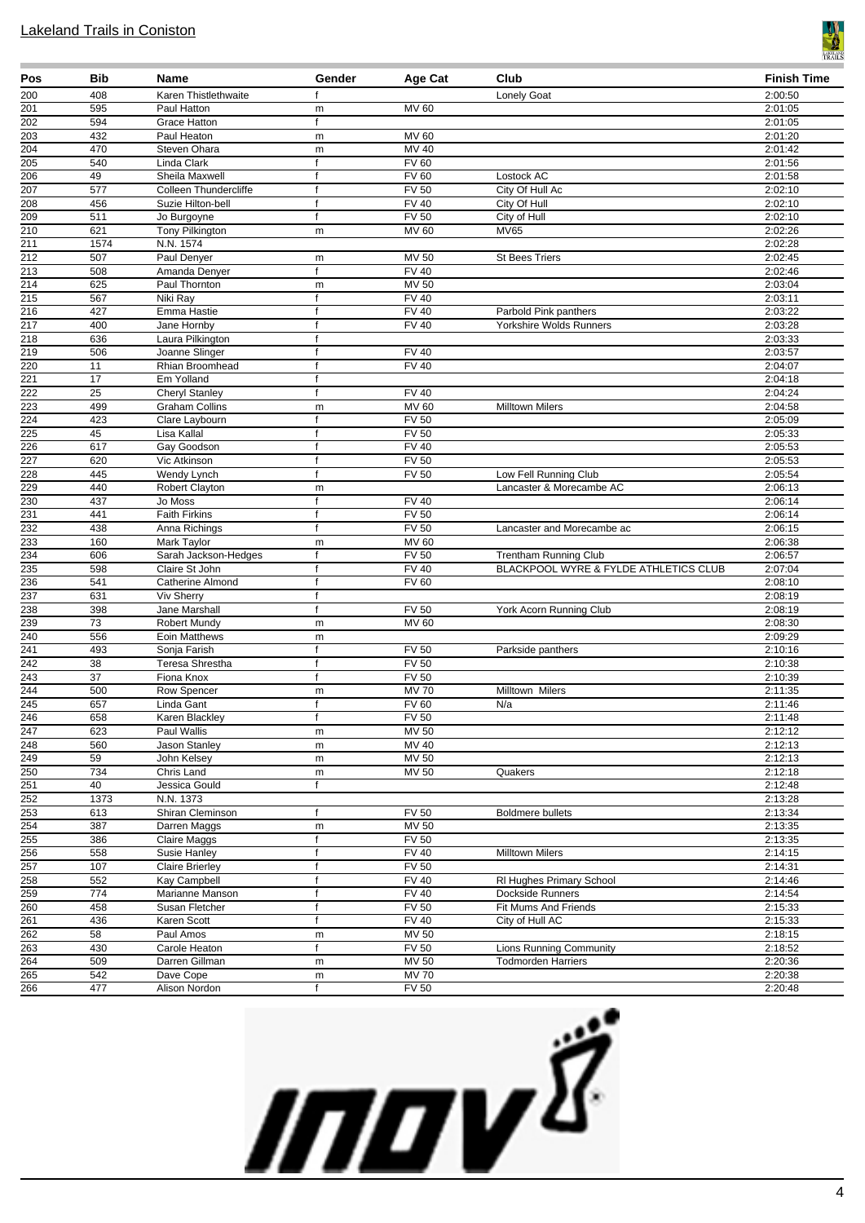

| Pos                                  | Bib             | <b>Name</b>                            | Gender            | Age Cat                      | Club                                             | <b>Finish Time</b> |
|--------------------------------------|-----------------|----------------------------------------|-------------------|------------------------------|--------------------------------------------------|--------------------|
| 200                                  | 408             | Karen Thistlethwaite                   | $\mathsf{f}$      |                              | Lonely Goat                                      | 2:00:50            |
| 201                                  | 595             | Paul Hatton                            | m                 | MV 60                        |                                                  | 2:01:05            |
| 202                                  | 594             | Grace Hatton                           | f                 |                              |                                                  | 2:01:05            |
| $\overline{203}$<br>204              | 432<br>470      | Paul Heaton                            | m                 | <b>MV 60</b><br>$MV$ 40      |                                                  | 2:01:20            |
| 205                                  | 540             | Steven Ohara<br>Linda Clark            | m<br>f            | <b>FV 60</b>                 |                                                  | 2:01:42<br>2:01:56 |
| 206                                  | 49              | Sheila Maxwell                         | $\mathsf{f}$      | <b>FV 60</b>                 | Lostock AC                                       | 2:01:58            |
| 207                                  | 577             | Colleen Thundercliffe                  | $\mathbf{f}$      | <b>FV 50</b>                 | City Of Hull Ac                                  | 2:02:10            |
| 208                                  | 456             | Suzie Hilton-bell                      | $\mathbf{f}$      | <b>FV 40</b>                 | City Of Hull                                     | 2:02:10            |
| 209                                  | 511             | Jo Burgoyne                            | $\mathsf{f}$      | <b>FV 50</b>                 | City of Hull                                     | 2:02:10            |
| 210                                  | 621             | Tony Pilkington                        | m                 | MV 60                        | <b>MV65</b>                                      | 2:02:26            |
| $\overline{211}$                     | 1574            | N.N. 1574                              |                   |                              |                                                  | 2:02:28            |
| 212                                  | 507             | Paul Denyer                            | m                 | MV 50                        | <b>St Bees Triers</b>                            | 2:02:45            |
| 213                                  | 508             | Amanda Denyer                          | f                 | <b>FV 40</b>                 |                                                  | 2:02:46            |
| 214                                  | 625             | Paul Thornton                          | m                 | $MV$ 50                      |                                                  | 2:03:04            |
| 215<br>$\overline{216}$              | 567<br>427      | Niki Ray                               | f                 | <b>FV 40</b><br><b>FV 40</b> |                                                  | 2:03:11<br>2:03:22 |
| 217                                  | 400             | Emma Hastie<br>Jane Hornby             | f<br>f            | <b>FV 40</b>                 | Parbold Pink panthers<br>Yorkshire Wolds Runners | 2:03:28            |
| $\overline{218}$                     | 636             | Laura Pilkington                       | $\mathsf{f}$      |                              |                                                  | 2:03:33            |
| 219                                  | 506             | Joanne Slinger                         | f                 | <b>FV 40</b>                 |                                                  | 2:03:57            |
| 220                                  | 11              | Rhian Broomhead                        | $\mathbf{f}$      | FV40                         |                                                  | 2:04:07            |
| 221                                  | 17              | Em Yolland                             | $\mathsf{f}$      |                              |                                                  | 2:04:18            |
| $\overline{222}$                     | 25              | <b>Cheryl Stanley</b>                  | $\mathbf{f}$      | <b>FV 40</b>                 |                                                  | 2:04:24            |
| 223                                  | 499             | <b>Graham Collins</b>                  | m                 | <b>MV 60</b>                 | <b>Milltown Milers</b>                           | 2:04:58            |
| 224                                  | 423             | Clare Laybourn                         | $\mathsf{f}$      | FV <sub>50</sub>             |                                                  | 2:05:09            |
| 225                                  | 45              | Lisa Kallal                            | $\mathsf{f}$      | <b>FV 50</b>                 |                                                  | 2:05:33            |
| 226                                  | 617             | Gay Goodson                            | f                 | <b>FV 40</b>                 |                                                  | 2:05:53            |
| 227                                  | 620             | Vic Atkinson                           | $\mathbf{f}$      | <b>FV 50</b>                 |                                                  | 2:05:53            |
| 228                                  | 445             | Wendy Lynch                            | $\mathsf{f}$      | <b>FV 50</b>                 | Low Fell Running Club                            | 2:05:54            |
| 229<br>230                           | 440             | <b>Robert Clayton</b>                  | m                 | <b>FV 40</b>                 | Lancaster & Morecambe AC                         | 2:06:13            |
| 231                                  | 437<br>441      | Jo Moss<br><b>Faith Firkins</b>        | f<br>$\mathbf{f}$ | <b>FV 50</b>                 |                                                  | 2:06:14<br>2:06:14 |
| 232                                  | 438             | Anna Richings                          | $\mathsf{f}$      | <b>FV 50</b>                 | Lancaster and Morecambe ac                       | 2:06:15            |
| 233                                  | 160             | Mark Taylor                            | m                 | MV 60                        |                                                  | 2:06:38            |
| 234                                  | 606             | Sarah Jackson-Hedges                   | f                 | <b>FV 50</b>                 | <b>Trentham Running Club</b>                     | 2:06:57            |
| 235                                  | 598             | Claire St John                         | $\mathbf{f}$      | <b>FV 40</b>                 | BLACKPOOL WYRE & FYLDE ATHLETICS CLUB            | 2:07:04            |
| 236                                  | 541             | Catherine Almond                       | f                 | <b>FV 60</b>                 |                                                  | 2:08:10            |
| 237                                  | 631             | <b>Viv Sherry</b>                      | f                 |                              |                                                  | 2:08:19            |
| 238                                  | 398             | Jane Marshall                          | $\mathbf{f}$      | <b>FV 50</b>                 | York Acorn Running Club                          | 2:08:19            |
| 239                                  | $\overline{73}$ | <b>Robert Mundy</b>                    | m                 | <b>MV 60</b>                 |                                                  | 2:08:30            |
| 240                                  | 556             | Eoin Matthews                          | m                 |                              |                                                  | 2:09:29            |
| 241                                  | 493             | Sonja Farish                           | $\mathsf{f}$      | <b>FV 50</b>                 | Parkside panthers                                | 2:10:16            |
| 242<br>$\overline{243}$              | 38<br>37        | Teresa Shrestha<br>Fiona Knox          | f<br>$\mathsf{f}$ | <b>FV 50</b><br>$FV$ 50      |                                                  | 2:10:38<br>2:10:39 |
| 244                                  | 500             | Row Spencer                            | m                 | <b>MV70</b>                  | Milltown Milers                                  | 2:11:35            |
| 245                                  | 657             | Linda Gant                             | $\mathsf{f}$      | <b>FV 60</b>                 | N/a                                              | 2:11:46            |
| <u>246</u>                           | 658             | Karen Blackley                         | Ť.                | FV 50                        |                                                  | 2:11:48            |
| 247                                  | 623             | Paul Wallis                            | m                 | MV 50                        |                                                  | 2:12:12            |
| $\overline{248}$                     | 560             | Jason Stanley                          | m                 | MV 40                        |                                                  | 2:12:13            |
| 249                                  | 59              | John Kelsey                            | m                 | <b>MV 50</b>                 |                                                  | 2:12:13            |
| $\overline{250}$                     | 734             | Chris Land                             | m                 | MV 50                        | Quakers                                          | 2:12:18            |
| 251                                  | 40              | Jessica Gould                          | f                 |                              |                                                  | 2:12:48            |
| $\overline{252}$                     | 1373            | N.N. 1373                              |                   |                              |                                                  | 2:13:28            |
| 253                                  | 613             | Shiran Cleminson                       | f                 | <b>FV 50</b>                 | <b>Boldmere bullets</b>                          | 2:13:34            |
| $\overline{254}$                     | 387             | Darren Maggs                           | ${\sf m}$         | MV 50                        |                                                  | 2:13:35            |
| $\overline{255}$                     | 386             | Claire Maggs                           | f<br>f            | <b>FV 50</b><br><b>FV 40</b> |                                                  | 2:13:35            |
| $\overline{256}$<br>$\overline{257}$ | 558<br>107      | Susie Hanley<br><b>Claire Brierley</b> | f                 | <b>FV 50</b>                 | <b>Milltown Milers</b>                           | 2:14:15<br>2:14:31 |
| 258                                  | 552             | Kay Campbell                           | $\mathbf{f}$      | <b>FV 40</b>                 | RI Hughes Primary School                         | 2:14:46            |
| 259                                  | 774             | Marianne Manson                        | f                 | <b>FV 40</b>                 | Dockside Runners                                 | 2:14:54            |
| 260                                  | 458             | Susan Fletcher                         | $\mathsf{f}$      | <b>FV 50</b>                 | Fit Mums And Friends                             | 2:15:33            |
| $\overline{261}$                     | 436             | Karen Scott                            | f                 | $\overline{FV40}$            | City of Hull AC                                  | 2:15:33            |
| $\overline{262}$                     | 58              | Paul Amos                              | m                 | <b>MV 50</b>                 |                                                  | 2:18:15            |
| 263                                  | 430             | Carole Heaton                          | f                 | <b>FV 50</b>                 | <b>Lions Running Community</b>                   | 2:18:52            |
| 264                                  | 509             | Darren Gillman                         | m                 | MV 50                        | <b>Todmorden Harriers</b>                        | 2:20:36            |
| $\overline{265}$                     | 542             | Dave Cope                              | m                 | <b>MV 70</b>                 |                                                  | 2:20:38            |
| 266                                  | 477             | Alison Nordon                          | f                 | FV <sub>50</sub>             |                                                  | 2:20:48            |

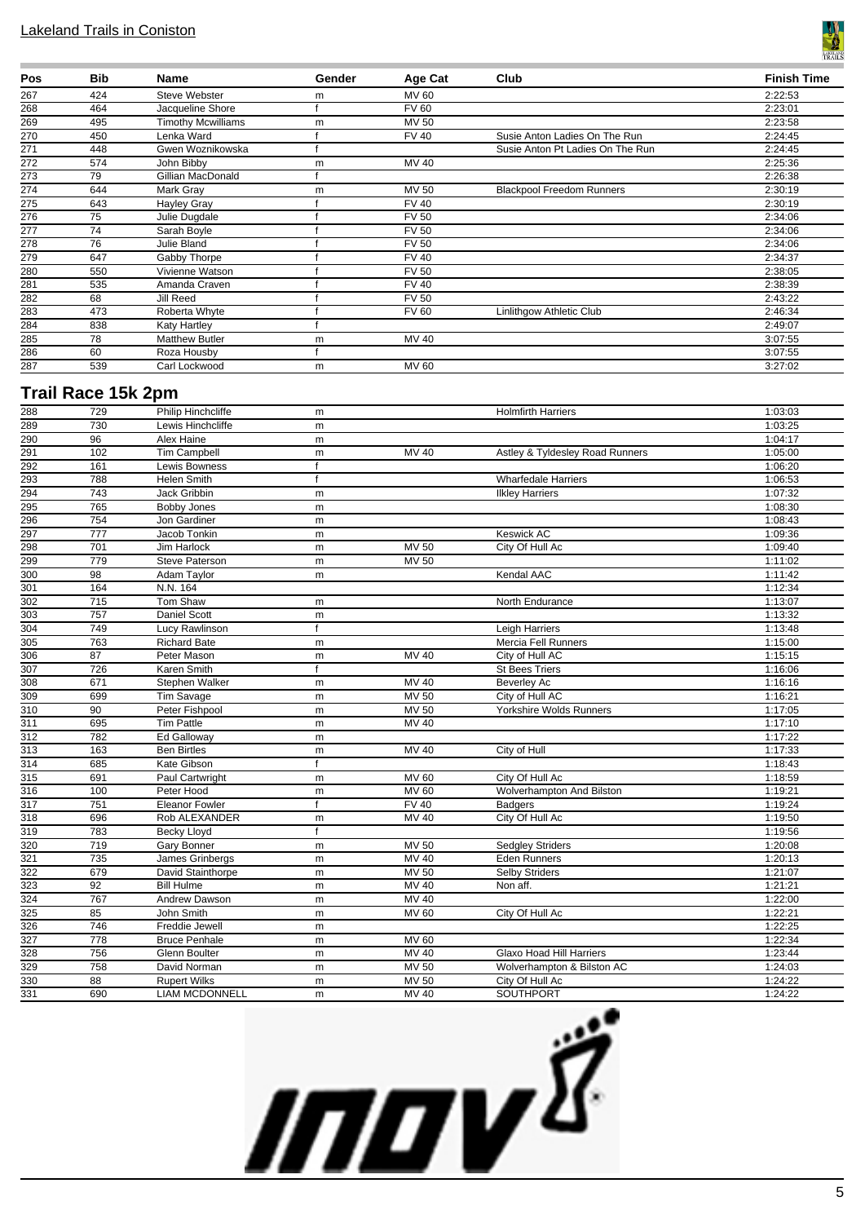

| Pos | <b>Bib</b> | Name                      | Gender | Age Cat      | Club                             | <b>Finish Time</b> |
|-----|------------|---------------------------|--------|--------------|----------------------------------|--------------------|
| 267 | 424        | Steve Webster             | m      | MV 60        |                                  | 2:22:53            |
| 268 | 464        | Jacqueline Shore          |        | <b>FV 60</b> |                                  | 2:23:01            |
| 269 | 495        | <b>Timothy Mcwilliams</b> | m      | MV 50        |                                  | 2:23:58            |
| 270 | 450        | Lenka Ward                |        | <b>FV 40</b> | Susie Anton Ladies On The Run    | 2:24:45            |
| 271 | 448        | Gwen Woznikowska          |        |              | Susie Anton Pt Ladies On The Run | 2:24:45            |
| 272 | 574        | John Bibby                | m      | MV 40        |                                  | 2:25:36            |
| 273 | 79         | Gillian MacDonald         |        |              |                                  | 2:26:38            |
| 274 | 644        | Mark Gray                 | m      | MV 50        | <b>Blackpool Freedom Runners</b> | 2:30:19            |
| 275 | 643        | Hayley Gray               |        | <b>FV 40</b> |                                  | 2:30:19            |
| 276 | 75         | Julie Dugdale             |        | <b>FV 50</b> |                                  | 2:34:06            |
| 277 | 74         | Sarah Boyle               |        | <b>FV 50</b> |                                  | 2:34:06            |
| 278 | 76         | Julie Bland               |        | <b>FV 50</b> |                                  | 2:34:06            |
| 279 | 647        | Gabby Thorpe              |        | <b>FV 40</b> |                                  | 2:34:37            |
| 280 | 550        | Vivienne Watson           |        | <b>FV 50</b> |                                  | 2:38:05            |
| 281 | 535        | Amanda Craven             |        | <b>FV 40</b> |                                  | 2:38:39            |
| 282 | 68         | Jill Reed                 |        | <b>FV 50</b> |                                  | 2:43:22            |
| 283 | 473        | Roberta Whyte             |        | <b>FV 60</b> | Linlithgow Athletic Club         | 2:46:34            |
| 284 | 838        | Katy Hartley              |        |              |                                  | 2:49:07            |
| 285 | 78         | <b>Matthew Butler</b>     | m      | MV 40        |                                  | 3:07:55            |
| 286 | 60         | Roza Housby               |        |              |                                  | 3:07:55            |
| 287 | 539        | Carl Lockwood             | m      | MV 60        |                                  | 3:27:02            |

# **Trail Race 15k 2pm**

| 288              | 729              | Philip Hinchcliffe    | m            |                    | <b>Holmfirth Harriers</b>       | 1:03:03 |
|------------------|------------------|-----------------------|--------------|--------------------|---------------------------------|---------|
| 289              | 730              | Lewis Hinchcliffe     | m            |                    |                                 | 1:03:25 |
| 290              | $\overline{96}$  | Alex Haine            | m            |                    |                                 | 1:04:17 |
| 291              | 102              | <b>Tim Campbell</b>   | m            | MV 40              | Astley & Tyldesley Road Runners | 1:05:00 |
| 292              | 161              | <b>Lewis Bowness</b>  | f            |                    |                                 | 1:06:20 |
| 293              | 788              | Helen Smith           | $\mathsf{f}$ |                    | <b>Wharfedale Harriers</b>      | 1:06:53 |
| 294              | 743              | Jack Gribbin          | m            |                    | <b>Ilkley Harriers</b>          | 1:07:32 |
| 295              | 765              | <b>Bobby Jones</b>    | m            |                    |                                 | 1:08:30 |
| 296              | 754              | Jon Gardiner          | m            |                    |                                 | 1:08:43 |
| 297              | 777              | Jacob Tonkin          | m            |                    | <b>Keswick AC</b>               | 1:09:36 |
| 298              | 701              | Jim Harlock           | m            | <b>MV 50</b>       | City Of Hull Ac                 | 1:09:40 |
| 299              | 779              | Steve Paterson        | m            | <b>MV 50</b>       |                                 | 1:11:02 |
| $\overline{300}$ | 98               | Adam Taylor           | m            |                    | Kendal AAC                      | 1:11:42 |
| 301              | 164              | N.N. 164              |              |                    |                                 | 1:12:34 |
| 302              | $\overline{715}$ | Tom Shaw              | m            |                    | North Endurance                 | 1:13:07 |
| $\overline{303}$ | 757              | Daniel Scott          | m            |                    |                                 | 1:13:32 |
| $\overline{304}$ | 749              | Lucy Rawlinson        | f            |                    | Leigh Harriers                  | 1:13:48 |
| 305              | 763              | <b>Richard Bate</b>   | m            |                    | Mercia Fell Runners             | 1:15:00 |
| 306              | 87               | Peter Mason           | m            | <b>MV 40</b>       | City of Hull AC                 | 1:15:15 |
| $\overline{307}$ | 726              | Karen Smith           | f            |                    | <b>St Bees Triers</b>           | 1:16:06 |
| 308              | 671              | Stephen Walker        | m            | MV 40              | <b>Beverley Ac</b>              | 1:16:16 |
| 309              | 699              | Tim Savage            | m            | <b>MV 50</b>       | City of Hull AC                 | 1:16:21 |
| 310              | 90               | Peter Fishpool        | m            | <b>MV 50</b>       | Yorkshire Wolds Runners         | 1:17:05 |
| $\overline{311}$ | 695              | <b>Tim Pattle</b>     | m            | <b>MV 40</b>       |                                 | 1:17:10 |
| 312              | 782              | Ed Galloway           | m            |                    |                                 | 1:17:22 |
| $\overline{313}$ | 163              | <b>Ben Birtles</b>    | m            | <b>MV 40</b>       | City of Hull                    | 1:17:33 |
| 314              | 685              | Kate Gibson           | f            |                    |                                 | 1:18:43 |
| $\overline{315}$ | 691              | Paul Cartwright       | m            | <b>MV 60</b>       | City Of Hull Ac                 | 1:18:59 |
| $\overline{316}$ | 100              | Peter Hood            | m            | <b>MV 60</b>       | Wolverhampton And Bilston       | 1:19:21 |
| 317              | 751              | <b>Eleanor Fowler</b> | f            | <b>FV 40</b>       | <b>Badgers</b>                  | 1:19:24 |
| $\overline{318}$ | 696              | Rob ALEXANDER         | m            | <b>MV 40</b>       | City Of Hull Ac                 | 1:19:50 |
| 319              | 783              | <b>Becky Lloyd</b>    | f            |                    |                                 | 1:19:56 |
| $\overline{320}$ | 719              | Gary Bonner           | m            | <b>MV 50</b>       | <b>Sedgley Striders</b>         | 1:20:08 |
| 321              | 735              | James Grinbergs       | m            | MV 40              | Eden Runners                    | 1:20:13 |
| 322              | 679              | David Stainthorpe     | m            | <b>MV 50</b>       | <b>Selby Striders</b>           | 1:21:07 |
| 323              | $\overline{92}$  | <b>Bill Hulme</b>     | m            | $\overline{MV}$ 40 | Non aff.                        | 1:21:21 |
| 324              | 767              | Andrew Dawson         | m            | <b>MV 40</b>       |                                 | 1:22:00 |
| 325              | 85               | John Smith            | m            | <b>MV 60</b>       | City Of Hull Ac                 | 1:22:21 |
| 326              | 746              | Freddie Jewell        | m            |                    |                                 | 1:22:25 |
| 327              | 778              | <b>Bruce Penhale</b>  | m            | <b>MV 60</b>       |                                 | 1:22:34 |
| $\frac{1}{328}$  | 756              | Glenn Boulter         | m            | <b>MV 40</b>       | Glaxo Hoad Hill Harriers        | 1:23:44 |
| $\overline{329}$ | 758              | David Norman          | m            | <b>MV 50</b>       | Wolverhampton & Bilston AC      | 1:24:03 |
| 330              | 88               | <b>Rupert Wilks</b>   | m            | <b>MV 50</b>       | City Of Hull Ac                 | 1:24:22 |
| 331              | 690              | <b>LIAM MCDONNELL</b> | m            | MV 40              | <b>SOUTHPORT</b>                | 1:24:22 |
|                  |                  |                       |              |                    |                                 |         |

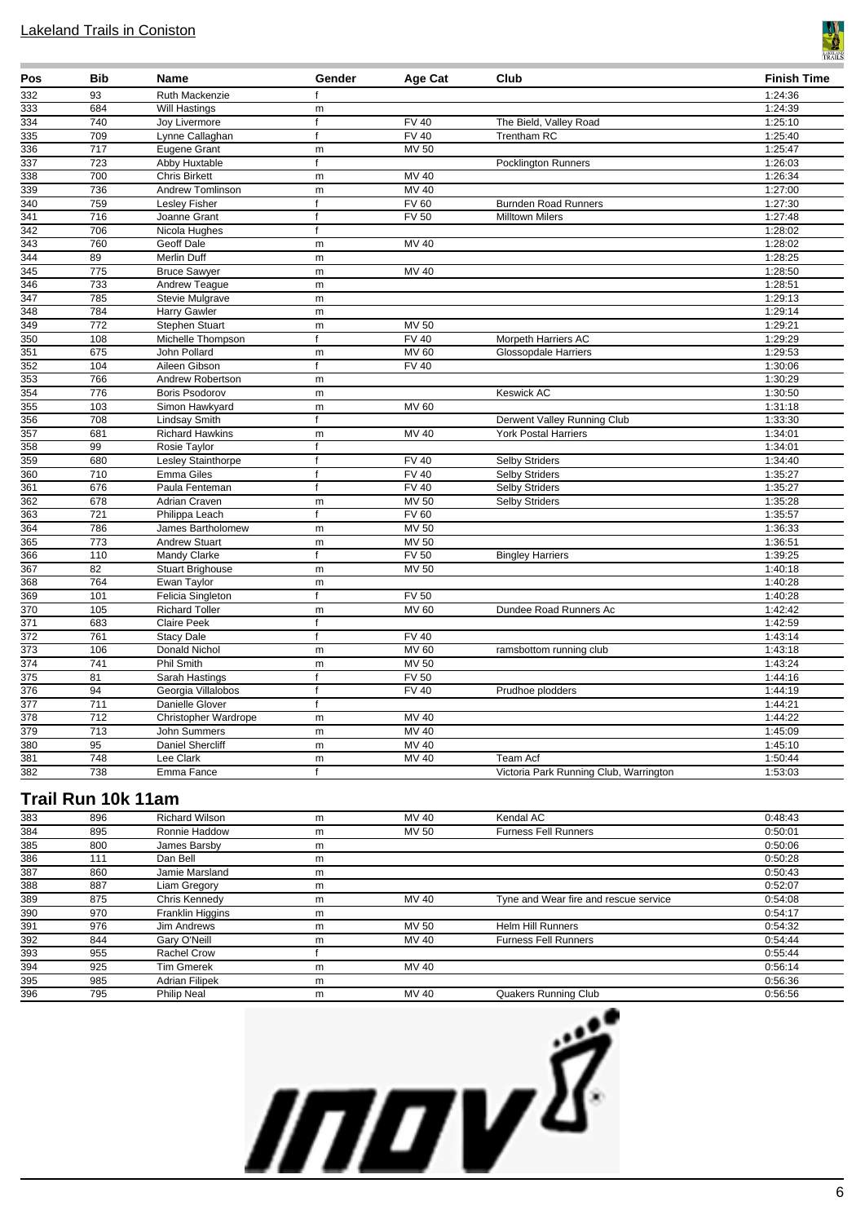

| Pos              | <b>Bib</b> | Name                        | Gender       | Age Cat          | Club                                   | <b>Finish Time</b> |
|------------------|------------|-----------------------------|--------------|------------------|----------------------------------------|--------------------|
| 332              | 93         | Ruth Mackenzie              |              |                  |                                        | 1:24:36            |
| 333              | 684        | Will Hastings               | m            |                  |                                        | 1:24:39            |
| 334              | 740        | <b>Joy Livermore</b>        | f            | <b>FV 40</b>     | The Bield, Valley Road                 | 1:25:10            |
| 335              | 709        | Lynne Callaghan             | f            | FV40             | <b>Trentham RC</b>                     | 1:25:40            |
| 336              | 717        | Eugene Grant                | ${\sf m}$    | <b>MV 50</b>     |                                        | 1:25:47            |
| $\overline{337}$ | 723        | Abby Huxtable               | f            |                  | <b>Pocklington Runners</b>             | 1:26:03            |
| 338              | 700        | <b>Chris Birkett</b>        | ${\sf m}$    | MV 40            |                                        | 1:26:34            |
| 339              | 736        | Andrew Tomlinson            | m            | <b>MV 40</b>     |                                        | 1:27:00            |
| 340              | 759        | Lesley Fisher               | $\mathbf{f}$ | <b>FV 60</b>     | <b>Burnden Road Runners</b>            | 1:27:30            |
| $\frac{1}{341}$  | 716        | Joanne Grant                | f            | <b>FV 50</b>     | <b>Milltown Milers</b>                 | 1:27:48            |
| 342              | 706        | Nicola Hughes               | f            |                  |                                        | 1:28:02            |
| 343              | 760        | Geoff Dale                  | m            | MV 40            |                                        | 1:28:02            |
| 344              | 89         | Merlin Duff                 | m            |                  |                                        | 1:28:25            |
| 345              | 775        | <b>Bruce Sawyer</b>         | m            | <b>MV 40</b>     |                                        | 1:28:50            |
| 346              | 733        | Andrew Teague               | m            |                  |                                        | 1:28:51            |
| 347              | 785        | <b>Stevie Mulgrave</b>      | m            |                  |                                        | 1:29:13            |
| $\frac{1}{348}$  | 784        | Harry Gawler                | m            |                  |                                        | 1:29:14            |
| 349              | 772        | Stephen Stuart              | m            | <b>MV 50</b>     |                                        | 1:29:21            |
| 350              | 108        | Michelle Thompson           |              | FV40             | Morpeth Harriers AC                    | 1:29:29            |
| 351              | 675        | John Pollard                | m            | <b>MV 60</b>     | Glossopdale Harriers                   | 1:29:53            |
| 352              | 104        | Aileen Gibson               | $\mathbf{f}$ | <b>FV 40</b>     |                                        | 1:30:06            |
| 353              | 766        | Andrew Robertson            | ${\sf m}$    |                  |                                        | 1:30:29            |
| 354              | 776        | Boris Psodorov              | ${\sf m}$    |                  | <b>Keswick AC</b>                      | 1:30:50            |
| 355              | 103        | Simon Hawkyard              | m            | <b>MV 60</b>     |                                        | 1:31:18            |
| 356              | 708        | Lindsay Smith               |              |                  | Derwent Valley Running Club            | 1:33:30            |
| $\overline{357}$ | 681        | <b>Richard Hawkins</b>      | m            | <b>MV 40</b>     | <b>York Postal Harriers</b>            | 1:34:01            |
| 358              | 99         | Rosie Taylor                | $\mathbf{f}$ |                  |                                        | 1:34:01            |
| 359              | 680        | Lesley Stainthorpe          | $\mathsf{f}$ | <b>FV 40</b>     | <b>Selby Striders</b>                  | 1:34:40            |
| 360              | 710        | Emma Giles                  | $\mathbf f$  | <b>FV 40</b>     | <b>Selby Striders</b>                  | 1:35:27            |
| 361              | 676        | Paula Fenteman              | f            | <b>FV 40</b>     | Selby Striders                         | 1:35:27            |
| 362              | 678        | Adrian Craven               | ${\sf m}$    | <b>MV 50</b>     | Selby Striders                         | 1:35:28            |
| $\overline{363}$ | 721        | Philippa Leach              | $\mathbf{f}$ | FV60             |                                        | 1:35:57            |
| 364              | 786        | James Bartholomew           | m            | <b>MV 50</b>     |                                        | 1:36:33            |
| 365              | 773        | <b>Andrew Stuart</b>        | ${\sf m}$    | <b>MV 50</b>     |                                        | 1:36:51            |
| 366              | 110        | Mandy Clarke                | $\mathbf f$  | <b>FV 50</b>     | <b>Bingley Harriers</b>                | 1:39:25            |
| 367              | 82         | <b>Stuart Brighouse</b>     | m            | <b>MV 50</b>     |                                        | 1:40:18            |
| 368              | 764        | Ewan Taylor                 | ${\sf m}$    |                  |                                        | 1:40:28            |
| 369              | 101        | Felicia Singleton           | f            | FV <sub>50</sub> |                                        | 1:40:28            |
| 370              | 105        | <b>Richard Toller</b>       | m            | <b>MV 60</b>     | Dundee Road Runners Ac                 | 1:42:42            |
| 371              | 683        | <b>Claire Peek</b>          | $\mathbf f$  |                  |                                        | 1:42:59            |
| 372              | 761        | <b>Stacy Dale</b>           | $\mathsf{f}$ | <b>FV 40</b>     |                                        | 1:43:14            |
| 373              | 106        | Donald Nichol               | m            | <b>MV 60</b>     | ramsbottom running club                | 1:43:18            |
| 374              | 741        | Phil Smith                  | ${\sf m}$    | <b>MV 50</b>     |                                        | 1:43:24            |
| 375              | 81         | Sarah Hastings              | f            | <b>FV 50</b>     |                                        | 1:44:16            |
| 376              | 94         | Georgia Villalobos          | $\mathsf{f}$ | <b>FV 40</b>     | Prudhoe plodders                       | 1:44:19            |
| 377              | 711        | Danielle Glover             | f            |                  |                                        | 1:44:21            |
| 378              | 712        | <b>Christopher Wardrope</b> | ${\sf m}$    | MV 40            |                                        | 1:44:22            |
| 379              | 713        | John Summers                | m            | <b>MV 40</b>     |                                        | 1:45:09            |
| 380              | 95         | Daniel Shercliff            | m            | MV 40            |                                        | 1:45:10            |
| 381              | 748        | Lee Clark                   | m            | <b>MV 40</b>     | Team Acf                               | 1:50:44            |
| 382              | 738        | Emma Fance                  | $\mathsf{f}$ |                  | Victoria Park Running Club, Warrington | 1:53:03            |

# **Trail Run 10k 11am**

| 383 | 896 | <b>Richard Wilson</b> | m | MV 40 | Kendal AC                             | 0:48:43 |
|-----|-----|-----------------------|---|-------|---------------------------------------|---------|
| 384 | 895 | Ronnie Haddow         | m | MV 50 | <b>Furness Fell Runners</b>           | 0:50:01 |
| 385 | 800 | James Barsby          | m |       |                                       | 0:50:06 |
| 386 | 111 | Dan Bell              | m |       |                                       | 0:50:28 |
| 387 | 860 | Jamie Marsland        | m |       |                                       | 0:50:43 |
| 388 | 887 | Liam Gregory          | m |       |                                       | 0:52:07 |
| 389 | 875 | Chris Kennedy         | m | MV 40 | Tyne and Wear fire and rescue service | 0:54:08 |
| 390 | 970 | Franklin Higgins      | m |       |                                       | 0:54:17 |
| 391 | 976 | Jim Andrews           | m | MV 50 | <b>Helm Hill Runners</b>              | 0:54:32 |
| 392 | 844 | Gary O'Neill          | m | MV 40 | <b>Furness Fell Runners</b>           | 0:54:44 |
| 393 | 955 | Rachel Crow           |   |       |                                       | 0:55:44 |
| 394 | 925 | <b>Tim Gmerek</b>     | m | MV 40 |                                       | 0:56:14 |
| 395 | 985 | Adrian Filipek        | m |       |                                       | 0:56:36 |
| 396 | 795 | <b>Philip Neal</b>    | m | MV 40 | Quakers Running Club                  | 0:56:56 |

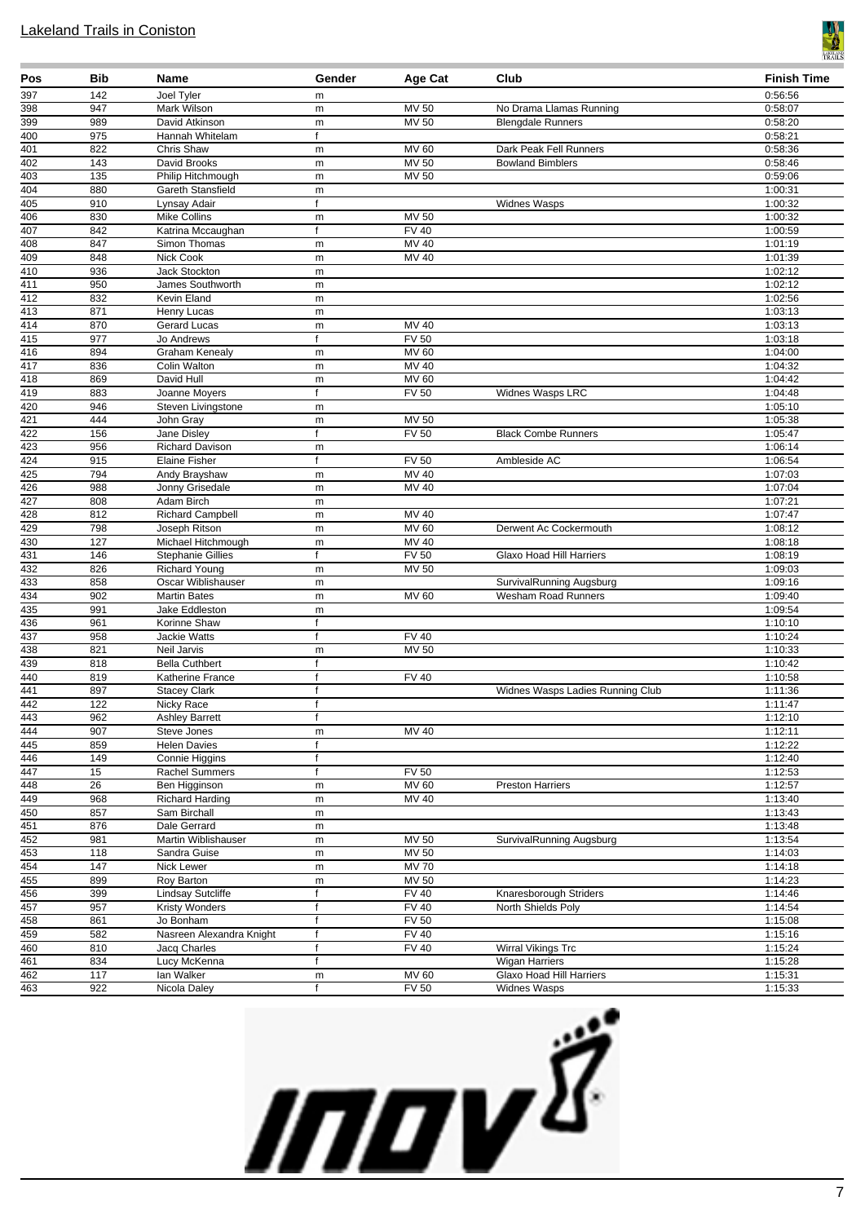

| Pos                     | <b>Bib</b>      | Name                                    | Gender         | Age Cat                      | Club                             | <b>Finish Time</b> |
|-------------------------|-----------------|-----------------------------------------|----------------|------------------------------|----------------------------------|--------------------|
| 397                     | 142             | Joel Tyler                              | m              |                              |                                  | 0:56:56            |
| 398                     | 947             | Mark Wilson                             | m              | MV 50                        | No Drama Llamas Running          | 0:58:07            |
| 399                     | 989             | David Atkinson                          | m              | <b>MV 50</b>                 | <b>Blengdale Runners</b>         | 0:58:20            |
| 400                     | 975             | Hannah Whitelam                         | f              |                              |                                  | 0:58:21            |
| 401                     | 822             | Chris Shaw                              | m              | MV 60                        | Dark Peak Fell Runners           | 0:58:36            |
| 402<br>403              | 143<br>135      | David Brooks<br>Philip Hitchmough       | m<br>m         | <b>MV 50</b><br><b>MV 50</b> | <b>Bowland Bimblers</b>          | 0:58:46<br>0:59:06 |
| 404                     | 880             | Gareth Stansfield                       | m              |                              |                                  | 1:00:31            |
| 405                     | 910             | Lynsay Adair                            | f              |                              | Widnes Wasps                     | 1:00:32            |
| 406                     | 830             | <b>Mike Collins</b>                     | m              | MV 50                        |                                  | 1:00:32            |
| 407                     | 842             | Katrina Mccaughan                       | f              | <b>FV 40</b>                 |                                  | 1:00:59            |
| 408                     | 847             | Simon Thomas                            | m              | MV 40                        |                                  | 1:01:19            |
| 409                     | 848             | <b>Nick Cook</b>                        | m              | MV 40                        |                                  | 1:01:39            |
| 410                     | 936             | Jack Stockton                           | m              |                              |                                  | 1:02:12            |
| 411                     | 950             | James Southworth                        | m              |                              |                                  | 1:02:12            |
| 412                     | 832             | Kevin Eland                             | m              |                              |                                  | 1:02:56            |
| 413                     | 871             | Henry Lucas                             | m              |                              |                                  | 1:03:13            |
| 414<br>$\overline{415}$ | 870<br>977      | <b>Gerard Lucas</b><br>Jo Andrews       | m<br>f         | MV 40<br><b>FV 50</b>        |                                  | 1:03:13<br>1:03:18 |
| 416                     | 894             | Graham Kenealy                          | m              | MV60                         |                                  | 1:04:00            |
| $\overline{417}$        | 836             | Colin Walton                            | m              | MV 40                        |                                  | 1:04:32            |
| 418                     | 869             | David Hull                              | m              | <b>MV 60</b>                 |                                  | 1:04:42            |
| 419                     | 883             | Joanne Moyers                           | f              | <b>FV 50</b>                 | Widnes Wasps LRC                 | 1:04:48            |
| 420                     | 946             | Steven Livingstone                      | m              |                              |                                  | 1:05:10            |
| 421                     | 444             | John Gray                               | m              | MV 50                        |                                  | 1:05:38            |
| 422                     | 156             | Jane Disley                             | f              | <b>FV 50</b>                 | <b>Black Combe Runners</b>       | 1:05:47            |
| 423                     | 956             | Richard Davison                         | m              |                              |                                  | 1:06:14            |
| 424                     | 915             | Elaine Fisher                           | f              | <b>FV 50</b>                 | Ambleside AC                     | 1:06:54            |
| 425                     | 794             | Andy Brayshaw                           | m              | $MV$ 40                      |                                  | 1:07:03            |
| 426                     | 988             | Jonny Grisedale                         | m              | MV 40                        |                                  | 1:07:04            |
| 427<br>428              | 808<br>812      | Adam Birch                              | m              | MV 40                        |                                  | 1:07:21<br>1:07:47 |
| 429                     | 798             | Richard Campbell<br>Joseph Ritson       | m<br>m         | MV 60                        | Derwent Ac Cockermouth           | 1:08:12            |
| 430                     | 127             | Michael Hitchmough                      | m              | <b>MV 40</b>                 |                                  | 1:08:18            |
| 431                     | 146             | <b>Stephanie Gillies</b>                | f              | <b>FV 50</b>                 | Glaxo Hoad Hill Harriers         | 1:08:19            |
| 432                     | 826             | <b>Richard Young</b>                    | m              | <b>MV 50</b>                 |                                  | 1:09:03            |
| 433                     | 858             | Oscar Wiblishauser                      | m              |                              | SurvivalRunning Augsburg         | 1:09:16            |
| 434                     | 902             | <b>Martin Bates</b>                     | m              | <b>MV 60</b>                 | <b>Wesham Road Runners</b>       | 1:09:40            |
| 435                     | 991             | Jake Eddleston                          | m              |                              |                                  | 1:09:54            |
| 436                     | 961             | Korinne Shaw                            | f              |                              |                                  | 1:10:10            |
| 437                     | 958             | <b>Jackie Watts</b>                     | f              | <b>FV 40</b>                 |                                  | 1:10:24            |
| 438                     | 821             | Neil Jarvis                             | m              | <b>MV 50</b>                 |                                  | 1:10:33            |
| 439<br>440              | 818<br>819      | <b>Bella Cuthbert</b>                   | f<br>f         | FV40                         |                                  | 1:10:42<br>1:10:58 |
| 441                     | 897             | Katherine France<br><b>Stacey Clark</b> | f              |                              | Widnes Wasps Ladies Running Club | 1:11:36            |
| 442                     | 122             | Nicky Race                              | f              |                              |                                  | 1:11:47            |
|                         | 962             | <b>Ashley Barrett</b>                   | f              |                              |                                  | 1:12:10            |
| $\frac{443}{444}$       | 907             | Steve Jones                             | ${\sf m}$      | <b>MV 40</b>                 |                                  | 1:12:11            |
| 445                     | 859             | <b>Helen Davies</b>                     | f              |                              |                                  | 1:12:22            |
| 446                     | 149             | Connie Higgins                          | f              |                              |                                  | 1:12:40            |
| 447                     | 15              | Rachel Summers                          | f              | <b>FV 50</b>                 |                                  | 1:12:53            |
| 448                     | $\overline{26}$ | Ben Higginson                           | m              | MV 60                        | <b>Preston Harriers</b>          | 1:12:57            |
| 449                     | 968             | <b>Richard Harding</b>                  | m              | <b>MV 40</b>                 |                                  | 1:13:40            |
| 450                     | 857             | Sam Birchall                            | ${\sf m}$      |                              |                                  | 1:13:43            |
| 451                     | 876             | Dale Gerrard                            | ${\sf m}$      |                              |                                  | 1:13:48            |
| $\overline{452}$<br>453 | 981             | Martin Wiblishauser                     | m              | MV 50<br><b>MV 50</b>        | SurvivalRunning Augsburg         | 1:13:54            |
| 454                     | 118<br>147      | Sandra Guise<br>Nick Lewer              | m<br>${\sf m}$ | <b>MV70</b>                  |                                  | 1:14:03<br>1:14:18 |
| 455                     | 899             | Roy Barton                              | m              | <b>MV 50</b>                 |                                  | 1:14:23            |
| 456                     | 399             | <b>Lindsay Sutcliffe</b>                | f              | <b>FV 40</b>                 | Knaresborough Striders           | 1:14:46            |
| 457                     | 957             | <b>Kristy Wonders</b>                   | f              | FV40                         | North Shields Poly               | 1:14:54            |
| 458                     | 861             | Jo Bonham                               | f              | <b>FV 50</b>                 |                                  | 1:15:08            |
| 459                     | 582             | Nasreen Alexandra Knight                | f              | <b>FV 40</b>                 |                                  | 1:15:16            |
| 460                     | 810             | Jacq Charles                            | $\mathsf{f}$   | <b>FV 40</b>                 | Wirral Vikings Trc               | 1:15:24            |
| 461                     | 834             | Lucy McKenna                            | f              |                              | <b>Wigan Harriers</b>            | 1:15:28            |
| 462                     | 117             | lan Walker                              | m              | <b>MV 60</b>                 | Glaxo Hoad Hill Harriers         | 1:15:31            |
| 463                     | 922             | Nicola Daley                            | f              | FV 50                        | <b>Widnes Wasps</b>              | 1:15:33            |

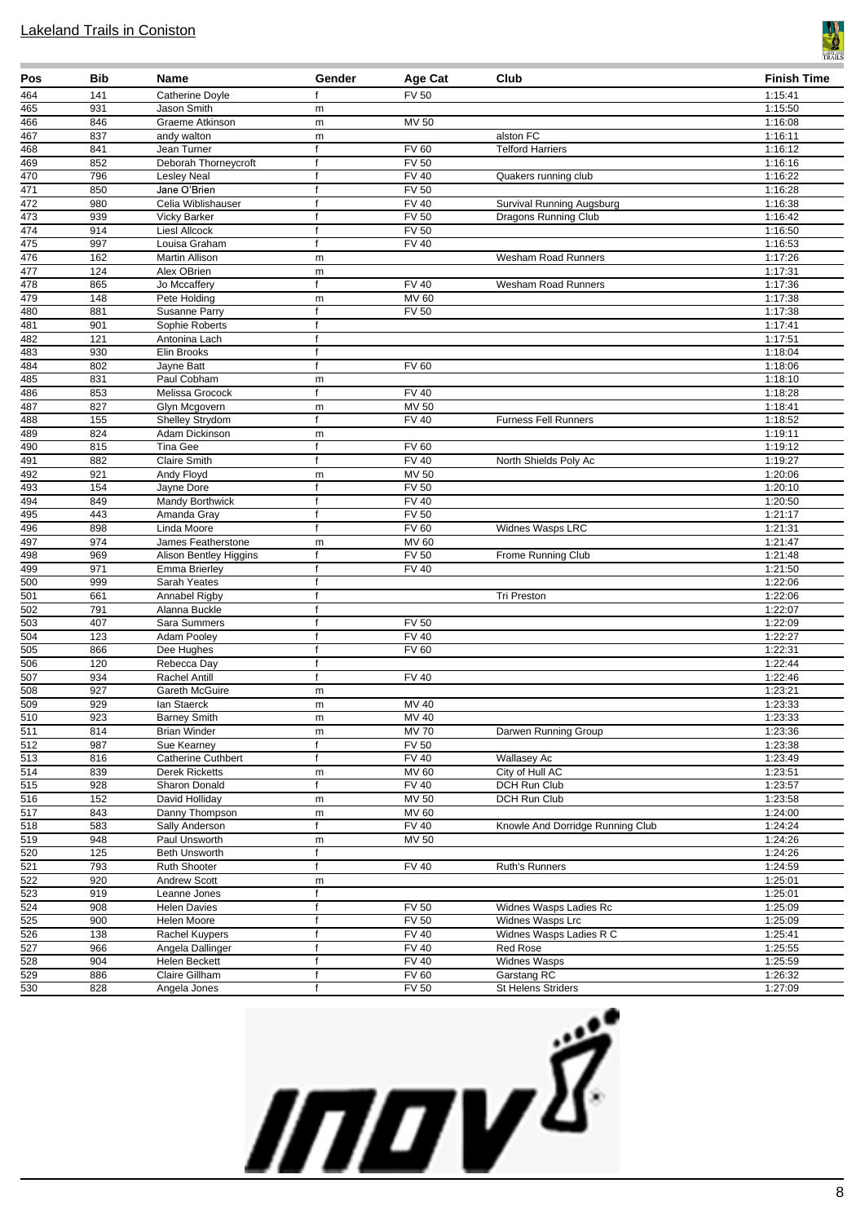

| Pos                     | <b>Bib</b> | Name                               | Gender            | Age Cat                      | Club                                   | <b>Finish Time</b> |
|-------------------------|------------|------------------------------------|-------------------|------------------------------|----------------------------------------|--------------------|
| 464                     | 141        | <b>Catherine Doyle</b>             | f                 | <b>FV 50</b>                 |                                        | 1:15:41            |
| 465                     | 931        | Jason Smith                        | m                 |                              |                                        | 1:15:50            |
| 466                     | 846        | Graeme Atkinson                    | m                 | MV 50                        |                                        | 1:16:08            |
| 467                     | 837        | andy walton                        | m                 |                              | alston FC                              | 1:16:11            |
| 468                     | 841        | Jean Turner                        | $\mathsf{f}$      | <b>FV 60</b>                 | <b>Telford Harriers</b>                | 1:16:12            |
| 469                     | 852        | Deborah Thorneycroft               | $\mathsf{f}$      | <b>FV 50</b>                 |                                        | 1:16:16            |
| 470<br>471              | 796<br>850 | <b>Lesley Neal</b><br>Jane O'Brien | f<br>$\mathsf{f}$ | <b>FV 40</b><br><b>FV 50</b> | Quakers running club                   | 1:16:22            |
| $\overline{472}$        | 980        | Celia Wiblishauser                 | f                 | $\overline{FV}$ 40           | Survival Running Augsburg              | 1:16:28<br>1:16:38 |
| 473                     | 939        | <b>Vicky Barker</b>                | f                 | <b>FV 50</b>                 | <b>Dragons Running Club</b>            | 1:16:42            |
| 474                     | 914        | <b>LiesI Allcock</b>               | f                 | $\overline{FV}$ 50           |                                        | 1:16:50            |
| 475                     | 997        | Louisa Graham                      | $\mathsf{f}$      | <b>FV 40</b>                 |                                        | 1:16:53            |
| 476                     | 162        | Martin Allison                     | m                 |                              | Wesham Road Runners                    | 1:17:26            |
| 477                     | 124        | Alex OBrien                        | ${\sf m}$         |                              |                                        | 1:17:31            |
| 478                     | 865        | Jo Mccaffery                       | f                 | <b>FV 40</b>                 | <b>Wesham Road Runners</b>             | 1:17:36            |
| 479                     | 148        | Pete Holding                       | m                 | <b>MV 60</b>                 |                                        | 1:17:38            |
| 480                     | 881        | Susanne Parry                      | $\mathsf{f}$      | <b>FV 50</b>                 |                                        | 1:17:38            |
| 481                     | 901        | Sophie Roberts                     | f                 |                              |                                        | 1:17:41            |
| 482                     | 121        | Antonina Lach                      | f                 |                              |                                        | 1:17:51            |
| 483                     | 930        | Elin Brooks                        | f                 |                              |                                        | 1:18:04            |
| 484                     | 802        | Jayne Batt                         | $\mathsf{f}$      | <b>FV 60</b>                 |                                        | 1:18:06            |
| 485                     | 831        | Paul Cobham                        | m                 |                              |                                        | 1:18:10            |
| 486<br>487              | 853<br>827 | Melissa Grocock<br>Glyn Mcgovern   |                   | <b>FV 40</b><br><b>MV 50</b> |                                        | 1:18:28<br>1:18:41 |
| 488                     | 155        | Shelley Strydom                    | ${\sf m}$<br>f    | FV40                         | <b>Furness Fell Runners</b>            | 1:18:52            |
| 489                     | 824        | Adam Dickinson                     | m                 |                              |                                        | 1:19:11            |
| 490                     | 815        | Tina Gee                           | f                 | <b>FV 60</b>                 |                                        | 1:19:12            |
| 491                     | 882        | <b>Claire Smith</b>                | f                 | <b>FV 40</b>                 | North Shields Poly Ac                  | 1:19:27            |
| 492                     | 921        | Andy Floyd                         | m                 | <b>MV 50</b>                 |                                        | 1:20:06            |
| 493                     | 154        | Jayne Dore                         | $\mathsf{f}$      | <b>FV 50</b>                 |                                        | 1:20:10            |
| 494                     | 849        | Mandy Borthwick                    |                   | <b>FV 40</b>                 |                                        | 1:20:50            |
| 495                     | 443        | Amanda Gray                        | $\mathbf f$       | FV <sub>50</sub>             |                                        | 1:21:17            |
| 496                     | 898        | Linda Moore                        | $\mathsf{f}$      | <b>FV 60</b>                 | Widnes Wasps LRC                       | 1:21:31            |
| 497                     | 974        | James Featherstone                 | m                 | <b>MV 60</b>                 |                                        | 1:21:47            |
| 498                     | 969        | Alison Bentley Higgins             | $\mathsf{f}$      | <b>FV 50</b>                 | Frome Running Club                     | 1:21:48            |
| 499                     | 971        | <b>Emma Brierley</b>               | $\mathsf{f}$      | <b>FV 40</b>                 |                                        | 1:21:50            |
| 500                     | 999        | Sarah Yeates                       | $\mathsf{f}$      |                              |                                        | 1:22:06            |
| 501<br>502              | 661<br>791 | Annabel Rigby<br>Alanna Buckle     | f<br>f            |                              | <b>Tri Preston</b>                     | 1:22:06<br>1:22:07 |
| 503                     | 407        | Sara Summers                       | $\mathbf f$       | <b>FV 50</b>                 |                                        | 1:22:09            |
| 504                     | 123        | Adam Pooley                        | $\mathbf f$       | <b>FV 40</b>                 |                                        | 1:22:27            |
| 505                     | 866        | Dee Hughes                         | f                 | <b>FV 60</b>                 |                                        | 1:22:31            |
| 506                     | 120        | Rebecca Day                        | f                 |                              |                                        | 1:22:44            |
| $\overline{507}$        | 934        | Rachel Antill                      | f                 | FV40                         |                                        | 1:22:46            |
| $\overline{508}$        | 927        | Gareth McGuire                     | m                 |                              |                                        | 1:23:21            |
| 509                     | 929        | lan Staerck                        | m                 | MV 40                        |                                        | 1:23:33            |
| 510                     | 923        | <b>Barney Smith</b>                | m                 | MV 40                        |                                        | 1:23:33            |
| $\overline{511}$        | 814        | <b>Brian Winder</b>                | m                 | <b>MV 70</b>                 | Darwen Running Group                   | 1:23:36            |
| $\overline{512}$        | 987        | Sue Kearney                        | f                 | <b>FV 50</b>                 |                                        | 1:23:38            |
| 513                     | 816        | <b>Catherine Cuthbert</b>          | f                 | <b>FV 40</b>                 | Wallasey Ac                            | 1:23:49            |
| $\overline{514}$        | 839<br>928 | <b>Derek Ricketts</b>              | m<br>$\mathsf{f}$ | MV 60<br>FV40                | City of Hull AC<br><b>DCH Run Club</b> | 1:23:51<br>1:23:57 |
| $\overline{515}$<br>516 | 152        | Sharon Donald<br>David Holliday    |                   | <b>MV 50</b>                 | <b>DCH Run Club</b>                    | 1:23:58            |
| $\overline{517}$        | 843        | Danny Thompson                     | m<br>${\sf m}$    | <b>MV 60</b>                 |                                        | 1:24:00            |
| 518                     | 583        | Sally Anderson                     | f                 | <b>FV 40</b>                 | Knowle And Dorridge Running Club       | 1:24:24            |
| 519                     | 948        | Paul Unsworth                      | ${\sf m}$         | <b>MV 50</b>                 |                                        | 1:24:26            |
| 520                     | 125        | Beth Unsworth                      | f                 |                              |                                        | 1:24:26            |
| $\overline{521}$        | 793        | Ruth Shooter                       | f                 | <b>FV 40</b>                 | Ruth's Runners                         | 1:24:59            |
| 522                     | 920        | Andrew Scott                       | m                 |                              |                                        | 1:25:01            |
| 523                     | 919        | Leanne Jones                       | f                 |                              |                                        | 1:25:01            |
| 524                     | 908        | <b>Helen Davies</b>                | f                 | <b>FV 50</b>                 | Widnes Wasps Ladies Rc                 | 1:25:09            |
| $\overline{525}$        | 900        | Helen Moore                        | $\mathsf{f}$      | <b>FV 50</b>                 | Widnes Wasps Lrc                       | 1:25:09            |
| 526                     | 138        | Rachel Kuypers                     | f                 | <b>FV 40</b>                 | Widnes Wasps Ladies R C                | 1:25:41            |
| $\overline{527}$        | 966        | Angela Dallinger                   | f                 | <b>FV 40</b>                 | Red Rose                               | 1:25:55            |
| 528                     | 904        | Helen Beckett                      | f                 | <b>FV 40</b>                 | Widnes Wasps                           | 1:25:59            |
| 529<br>530              | 886        | Claire Gillham                     | f<br>f            | FV60                         | Garstang RC                            | 1:26:32            |
|                         | 828        | Angela Jones                       |                   | <b>FV 50</b>                 | St Helens Striders                     | 1:27:09            |